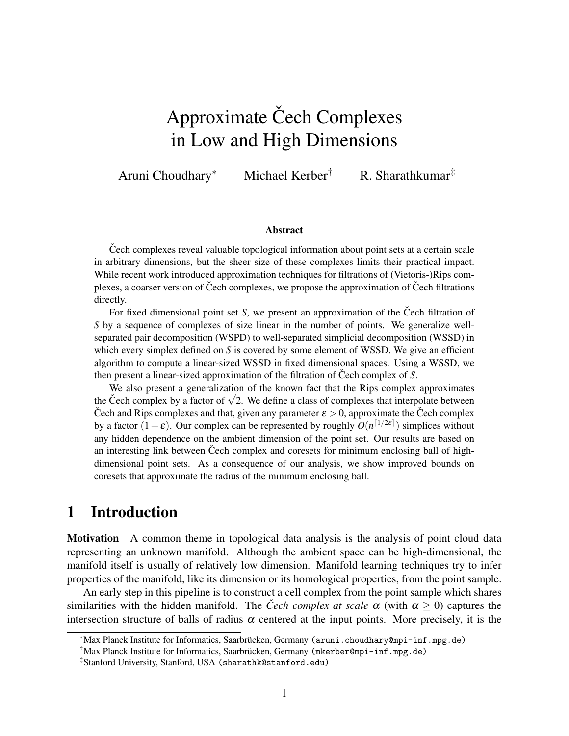# Approximate Čech Complexes in Low and High Dimensions

Aruni Choudhary<sup>∗</sup> Michael Kerber† R. Sharathkumar‡

#### Abstract

Cech complexes reveal valuable topological information about point sets at a certain scale in arbitrary dimensions, but the sheer size of these complexes limits their practical impact. While recent work introduced approximation techniques for filtrations of (Vietoris-)Rips complexes, a coarser version of Čech complexes, we propose the approximation of Čech filtrations directly.

For fixed dimensional point set *S*, we present an approximation of the Cech filtration of *S* by a sequence of complexes of size linear in the number of points. We generalize wellseparated pair decomposition (WSPD) to well-separated simplicial decomposition (WSSD) in which every simplex defined on *S* is covered by some element of WSSD. We give an efficient algorithm to compute a linear-sized WSSD in fixed dimensional spaces. Using a WSSD, we then present a linear-sized approximation of the filtration of Čech complex of S.

We also present a generalization of the known fact that the Rips complex approximates the Čech complex by a factor of  $\sqrt{2}$ . We define a class of complexes that interpolate between Cech and Rips complexes and that, given any parameter  $\varepsilon > 0$ , approximate the Cech complex by a factor  $(1+\varepsilon)$ . Our complex can be represented by roughly  $O(n^{\lceil 1/2\varepsilon \rceil})$  simplices without any hidden dependence on the ambient dimension of the point set. Our results are based on an interesting link between Cech complex and coresets for minimum enclosing ball of highdimensional point sets. As a consequence of our analysis, we show improved bounds on coresets that approximate the radius of the minimum enclosing ball.

### 1 Introduction

Motivation A common theme in topological data analysis is the analysis of point cloud data representing an unknown manifold. Although the ambient space can be high-dimensional, the manifold itself is usually of relatively low dimension. Manifold learning techniques try to infer properties of the manifold, like its dimension or its homological properties, from the point sample.

An early step in this pipeline is to construct a cell complex from the point sample which shares similarities with the hidden manifold. The *Čech complex at scale*  $\alpha$  (with  $\alpha \geq 0$ ) captures the intersection structure of balls of radius  $\alpha$  centered at the input points. More precisely, it is the

<sup>\*</sup>Max Planck Institute for Informatics, Saarbrücken, Germany (aruni.choudhary@mpi-inf.mpg.de)

 $\dagger$ Max Planck Institute for Informatics, Saarbrücken, Germany (mkerber@mpi-inf.mpg.de)

<sup>‡</sup>Stanford University, Stanford, USA (sharathk@stanford.edu)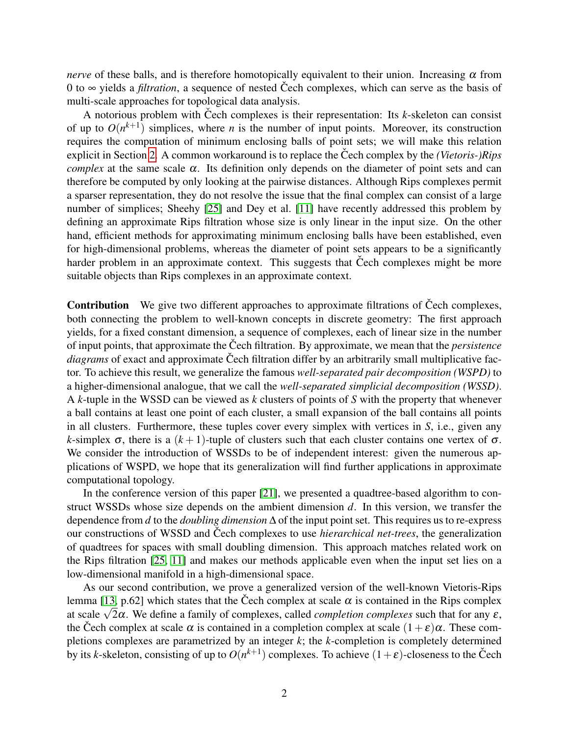*nerve* of these balls, and is therefore homotopically equivalent to their union. Increasing  $\alpha$  from 0 to  $\infty$  yields a *filtration*, a sequence of nested Čech complexes, which can serve as the basis of multi-scale approaches for topological data analysis.

A notorious problem with Čech complexes is their representation: Its  $k$ -skeleton can consist of up to  $O(n^{k+1})$  simplices, where *n* is the number of input points. Moreover, its construction requires the computation of minimum enclosing balls of point sets; we will make this relation explicit in Section [2.](#page-3-0) A common workaround is to replace the Čech complex by the *(Vietoris-)Rips complex* at the same scale  $\alpha$ . Its definition only depends on the diameter of point sets and can therefore be computed by only looking at the pairwise distances. Although Rips complexes permit a sparser representation, they do not resolve the issue that the final complex can consist of a large number of simplices; Sheehy [\[25\]](#page-21-0) and Dey et al. [\[11\]](#page-20-0) have recently addressed this problem by defining an approximate Rips filtration whose size is only linear in the input size. On the other hand, efficient methods for approximating minimum enclosing balls have been established, even for high-dimensional problems, whereas the diameter of point sets appears to be a significantly harder problem in an approximate context. This suggests that Čech complexes might be more suitable objects than Rips complexes in an approximate context.

**Contribution** We give two different approaches to approximate filtrations of Cech complexes, both connecting the problem to well-known concepts in discrete geometry: The first approach yields, for a fixed constant dimension, a sequence of complexes, each of linear size in the number of input points, that approximate the Čech filtration. By approximate, we mean that the *persistence diagrams* of exact and approximate Čech filtration differ by an arbitrarily small multiplicative factor. To achieve this result, we generalize the famous *well-separated pair decomposition (WSPD)* to a higher-dimensional analogue, that we call the *well-separated simplicial decomposition (WSSD)*. A *k*-tuple in the WSSD can be viewed as *k* clusters of points of *S* with the property that whenever a ball contains at least one point of each cluster, a small expansion of the ball contains all points in all clusters. Furthermore, these tuples cover every simplex with vertices in *S*, i.e., given any *k*-simplex  $\sigma$ , there is a  $(k+1)$ -tuple of clusters such that each cluster contains one vertex of  $\sigma$ . We consider the introduction of WSSDs to be of independent interest: given the numerous applications of WSPD, we hope that its generalization will find further applications in approximate computational topology.

In the conference version of this paper [\[21\]](#page-21-1), we presented a quadtree-based algorithm to construct WSSDs whose size depends on the ambient dimension *d*. In this version, we transfer the dependence from *d* to the *doubling dimension* ∆ of the input point set. This requires us to re-express our constructions of WSSD and Čech complexes to use *hierarchical net-trees*, the generalization of quadtrees for spaces with small doubling dimension. This approach matches related work on the Rips filtration [\[25,](#page-21-0) [11\]](#page-20-0) and makes our methods applicable even when the input set lies on a low-dimensional manifold in a high-dimensional space.

As our second contribution, we prove a generalized version of the well-known Vietoris-Rips lemma [\[13,](#page-21-2) p.62] which states that the Čech complex at scale  $\alpha$  is contained in the Rips complex lemma [13, p. 62] which states that the Cech complex at scale  $\alpha$  is contained in the Kips complexes at scale  $\sqrt{2}\alpha$ . We define a family of complexes, called *completion complexes* such that for any *ε*, the Čech complex at scale  $\alpha$  is contained in a completion complex at scale  $(1+\varepsilon)\alpha$ . These completions complexes are parametrized by an integer *k*; the *k*-completion is completely determined by its *k*-skeleton, consisting of up to  $O(n^{k+1})$  complexes. To achieve  $(1+\varepsilon)$ -closeness to the Čech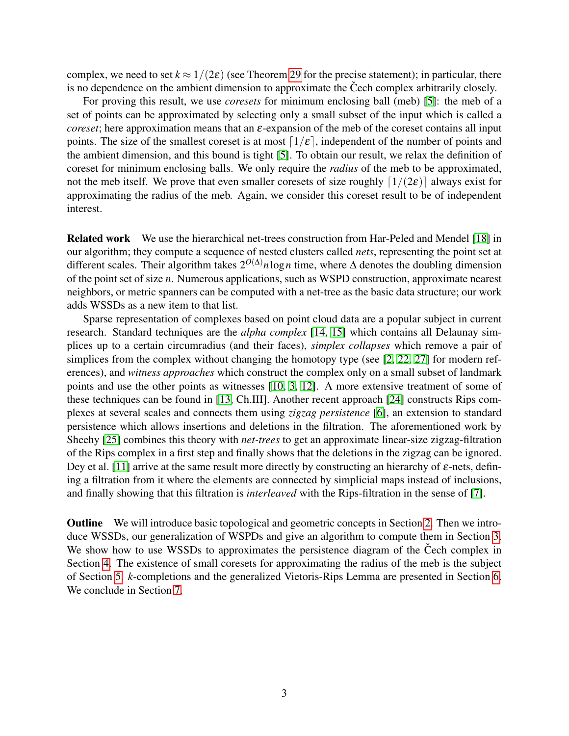complex, we need to set  $k \approx 1/(2\varepsilon)$  (see Theorem [29](#page-19-0) for the precise statement); in particular, there is no dependence on the ambient dimension to approximate the Čech complex arbitrarily closely.

For proving this result, we use *coresets* for minimum enclosing ball (meb) [\[5\]](#page-20-1): the meb of a set of points can be approximated by selecting only a small subset of the input which is called a *coreset*; here approximation means that an ε-expansion of the meb of the coreset contains all input points. The size of the smallest coreset is at most  $\lceil 1/\varepsilon \rceil$ , independent of the number of points and the ambient dimension, and this bound is tight [\[5\]](#page-20-1). To obtain our result, we relax the definition of coreset for minimum enclosing balls. We only require the *radius* of the meb to be approximated, not the meb itself. We prove that even smaller coresets of size roughly  $\lceil 1/(2\varepsilon) \rceil$  always exist for approximating the radius of the meb. Again, we consider this coreset result to be of independent interest.

Related work We use the hierarchical net-trees construction from Har-Peled and Mendel [\[18\]](#page-21-3) in our algorithm; they compute a sequence of nested clusters called *nets*, representing the point set at different scales. Their algorithm takes 2*O*(∆)*n*log*n* time, where ∆ denotes the doubling dimension of the point set of size *n*. Numerous applications, such as WSPD construction, approximate nearest neighbors, or metric spanners can be computed with a net-tree as the basic data structure; our work adds WSSDs as a new item to that list.

Sparse representation of complexes based on point cloud data are a popular subject in current research. Standard techniques are the *alpha complex* [\[14,](#page-21-4) [15\]](#page-21-5) which contains all Delaunay simplices up to a certain circumradius (and their faces), *simplex collapses* which remove a pair of simplices from the complex without changing the homotopy type (see [\[2,](#page-20-2) [22,](#page-21-6) [27\]](#page-21-7) for modern references), and *witness approaches* which construct the complex only on a small subset of landmark points and use the other points as witnesses [\[10,](#page-20-3) [3,](#page-20-4) [12\]](#page-20-5). A more extensive treatment of some of these techniques can be found in [\[13,](#page-21-2) Ch.III]. Another recent approach [\[24\]](#page-21-8) constructs Rips complexes at several scales and connects them using *zigzag persistence* [\[6\]](#page-20-6), an extension to standard persistence which allows insertions and deletions in the filtration. The aforementioned work by Sheehy [\[25\]](#page-21-0) combines this theory with *net-trees* to get an approximate linear-size zigzag-filtration of the Rips complex in a first step and finally shows that the deletions in the zigzag can be ignored. Dey et al. [\[11\]](#page-20-0) arrive at the same result more directly by constructing an hierarchy of  $\varepsilon$ -nets, defining a filtration from it where the elements are connected by simplicial maps instead of inclusions, and finally showing that this filtration is *interleaved* with the Rips-filtration in the sense of [\[7\]](#page-20-7).

Outline We will introduce basic topological and geometric concepts in Section [2.](#page-3-0) Then we introduce WSSDs, our generalization of WSPDs and give an algorithm to compute them in Section [3.](#page-6-0) We show how to use WSSDs to approximates the persistence diagram of the Čech complex in Section [4.](#page-12-0) The existence of small coresets for approximating the radius of the meb is the subject of Section [5.](#page-16-0) *k*-completions and the generalized Vietoris-Rips Lemma are presented in Section [6.](#page-18-0) We conclude in Section [7.](#page-19-1)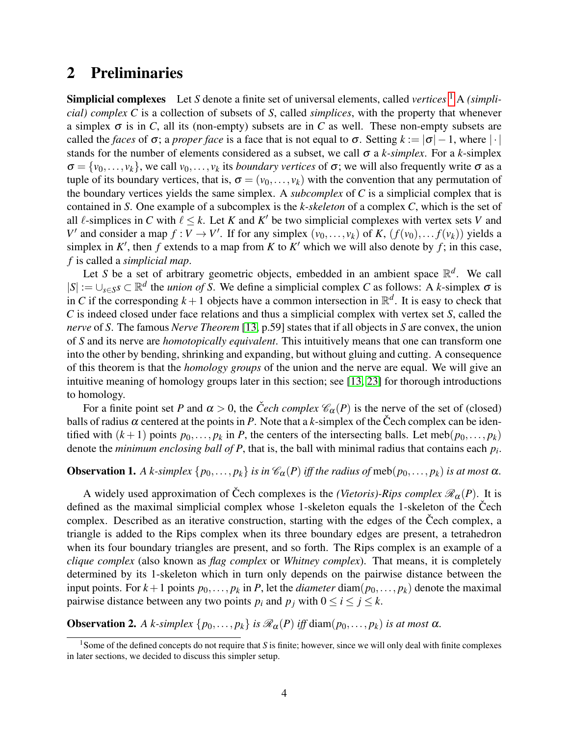### <span id="page-3-0"></span>2 Preliminaries

**Simplicial complexes** Let *S* denote a finite set of universal elements, called *vertices* <sup>[1](#page-3-1)</sup> A *(simplicial) complex C* is a collection of subsets of *S*, called *simplices*, with the property that whenever a simplex  $\sigma$  is in *C*, all its (non-empty) subsets are in *C* as well. These non-empty subsets are called the *faces* of  $\sigma$ ; a *proper face* is a face that is not equal to  $\sigma$ . Setting  $k := |\sigma| - 1$ , where | · | stands for the number of elements considered as a subset, we call σ a *k-simplex*. For a *k*-simplex  $\sigma = \{v_0, \ldots, v_k\}$ , we call  $v_0, \ldots, v_k$  its *boundary vertices* of  $\sigma$ ; we will also frequently write  $\sigma$  as a tuple of its boundary vertices, that is,  $\sigma = (v_0, \dots, v_k)$  with the convention that any permutation of the boundary vertices yields the same simplex. A *subcomplex* of *C* is a simplicial complex that is contained in *S*. One example of a subcomplex is the *k-skeleton* of a complex *C*, which is the set of all  $\ell$ -simplices in *C* with  $\ell \leq k$ . Let *K* and *K'* be two simplicial complexes with vertex sets *V* and *V*<sup> $\prime$ </sup> and consider a map  $f: V \to V'$ . If for any simplex  $(v_0, \ldots, v_k)$  of *K*,  $(f(v_0), \ldots, f(v_k))$  yields a simplex in  $K'$ , then  $f$  extends to a map from  $K$  to  $K'$  which we will also denote by  $f$ ; in this case, *f* is called a *simplicial map*.

Let *S* be a set of arbitrary geometric objects, embedded in an ambient space  $\mathbb{R}^d$ . We call  $|S| := \bigcup_{s \in S} s \subset \mathbb{R}^d$  the *union of S*. We define a simplicial complex *C* as follows: A *k*-simplex  $\sigma$  is in *C* if the corresponding  $k+1$  objects have a common intersection in  $\mathbb{R}^d$ . It is easy to check that *C* is indeed closed under face relations and thus a simplicial complex with vertex set *S*, called the *nerve* of *S*. The famous *Nerve Theorem* [\[13,](#page-21-2) p.59] states that if all objects in *S* are convex, the union of *S* and its nerve are *homotopically equivalent*. This intuitively means that one can transform one into the other by bending, shrinking and expanding, but without gluing and cutting. A consequence of this theorem is that the *homology groups* of the union and the nerve are equal. We will give an intuitive meaning of homology groups later in this section; see [\[13,](#page-21-2) [23\]](#page-21-9) for thorough introductions to homology.

For a finite point set *P* and  $\alpha > 0$ , the *Čech complex*  $\mathcal{C}_{\alpha}(P)$  is the nerve of the set of (closed) balls of radius  $\alpha$  centered at the points in *P*. Note that a *k*-simplex of the Čech complex can be identified with  $(k+1)$  points  $p_0, \ldots, p_k$  in *P*, the centers of the intersecting balls. Let meb $(p_0, \ldots, p_k)$ denote the *minimum enclosing ball of P*, that is, the ball with minimal radius that contains each *p<sup>i</sup>* .

### **Observation 1.** *A k-simplex*  $\{p_0, \ldots, p_k\}$  *is in*  $\mathcal{C}_{\alpha}(P)$  *iff the radius of* meb $(p_0, \ldots, p_k)$  *is at most*  $\alpha$ *.*

A widely used approximation of Čech complexes is the *(Vietoris)-Rips complex*  $\mathcal{R}_{\alpha}(P)$ . It is defined as the maximal simplicial complex whose 1-skeleton equals the 1-skeleton of the Čech complex. Described as an iterative construction, starting with the edges of the Čech complex, a triangle is added to the Rips complex when its three boundary edges are present, a tetrahedron when its four boundary triangles are present, and so forth. The Rips complex is an example of a *clique complex* (also known as *flag complex* or *Whitney complex*). That means, it is completely determined by its 1-skeleton which in turn only depends on the pairwise distance between the input points. For  $k+1$  points  $p_0, \ldots, p_k$  in *P*, let the *diameter* diam $(p_0, \ldots, p_k)$  denote the maximal pairwise distance between any two points  $p_i$  and  $p_j$  with  $0 \le i \le j \le k$ .

**Observation 2.** *A k-simplex*  $\{p_0, \ldots, p_k\}$  *is*  $\mathcal{R}_{\alpha}(P)$  *iff* diam $(p_0, \ldots, p_k)$  *is at most*  $\alpha$ *.* 

<span id="page-3-1"></span><sup>&</sup>lt;sup>1</sup>Some of the defined concepts do not require that *S* is finite; however, since we will only deal with finite complexes in later sections, we decided to discuss this simpler setup.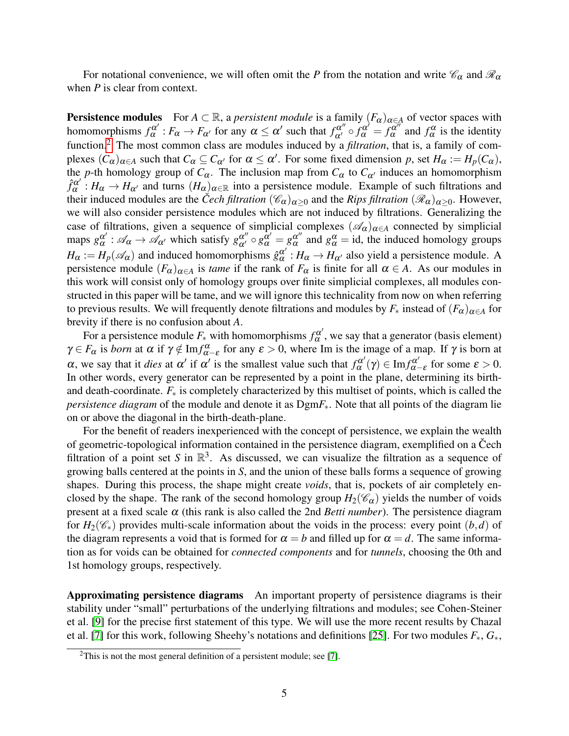For notational convenience, we will often omit the *P* from the notation and write  $\mathcal{C}_{\alpha}$  and  $\mathcal{R}_{\alpha}$ when *P* is clear from context.

**Persistence modules** For  $A \subset \mathbb{R}$ , a *persistent module* is a family  $(F_{\alpha})_{\alpha \in A}$  of vector spaces with homomorphisms  $f^{\alpha'}_{\alpha}$  $\alpha^{\alpha'} : F_{\alpha} \to F_{\alpha'}$  for any  $\alpha \leq \alpha'$  such that  $f_{\alpha'}^{\alpha''} \circ f_{\alpha}^{\alpha'} = f_{\alpha}^{\alpha''}$  $\alpha^{\alpha}$  and  $f^{\alpha}$  is the identity function.<sup>[2](#page-4-0)</sup> The most common class are modules induced by a *filtration*, that is, a family of complexes  $(C_{\alpha})_{\alpha \in A}$  such that  $C_{\alpha} \subseteq C_{\alpha'}$  for  $\alpha \leq \alpha'$ . For some fixed dimension *p*, set  $H_{\alpha} := H_p(C_{\alpha})$ , the *p*-th homology group of  $C_{\alpha}$ . The inclusion map from  $C_{\alpha}$  to  $C_{\alpha'}$  induces an homomorphism  $\hat{f}_{\alpha}^{\alpha'}$  $\alpha^{\alpha'}$ :  $H_{\alpha} \to H_{\alpha'}$  and turns  $(H_{\alpha})_{\alpha \in \mathbb{R}}$  into a persistence module. Example of such filtrations and their induced modules are the *Cech filtration*  $(\mathscr{C}_{\alpha})_{\alpha>0}$  and the *Rips filtration*  $(\mathscr{R}_{\alpha})_{\alpha>0}$ . However, we will also consider persistence modules which are not induced by filtrations. Generalizing the case of filtrations, given a sequence of simplicial complexes  $(\mathscr{A}_{\alpha})_{\alpha \in A}$  connected by simplicial maps  $g_\alpha^{\alpha'}$  $\alpha' : \mathscr{A}_{\alpha} \to \mathscr{A}_{\alpha'}$  which satisfy  $g_{\alpha'}^{\alpha''} \circ g_{\alpha}^{\alpha'} = g_{\alpha}^{\alpha''}$  $\alpha^{\alpha}$  and  $g_{\alpha}^{\alpha} = id$ , the induced homology groups  $H_{\alpha} := H_p(\mathcal{A}_{\alpha})$  and induced homomorphisms  $\hat{g}_{\alpha}^{\alpha'}$  $\alpha$ <sup>'</sup> :  $H_{\alpha} \rightarrow H_{\alpha}$ <sup>'</sup> also yield a persistence module. A persistence module  $(F_\alpha)_{\alpha \in A}$  is *tame* if the rank of  $F_\alpha$  is finite for all  $\alpha \in A$ . As our modules in this work will consist only of homology groups over finite simplicial complexes, all modules constructed in this paper will be tame, and we will ignore this technicality from now on when referring to previous results. We will frequently denote filtrations and modules by  $F_*$  instead of  $(F_{\alpha})_{\alpha \in A}$  for brevity if there is no confusion about *A*.

For a persistence module  $F_*$  with homomorphisms  $f_\alpha^{\alpha'}$  $\alpha^{\alpha}$ , we say that a generator (basis element)  $\gamma \in F_\alpha$  is *born* at  $\alpha$  if  $\gamma \notin \text{Im} f_{\alpha-\varepsilon}^{\alpha}$  for any  $\varepsilon > 0$ , where Im is the image of a map. If  $\gamma$  is born at  $\alpha$ , we say that it *dies* at  $\alpha'$  if  $\alpha'$  is the smallest value such that  $f_{\alpha}^{\alpha'}$  $\Gamma_{\alpha}^{\alpha'}(\gamma) \in {\rm Im} f_{\alpha-}^{\alpha'}$  $\alpha^{\alpha'}_{\alpha-\varepsilon}$  for some  $\varepsilon > 0$ . In other words, every generator can be represented by a point in the plane, determining its birthand death-coordinate.  $F_*$  is completely characterized by this multiset of points, which is called the *persistence diagram* of the module and denote it as  $DgmF_*$ . Note that all points of the diagram lie on or above the diagonal in the birth-death-plane.

For the benefit of readers inexperienced with the concept of persistence, we explain the wealth of geometric-topological information contained in the persistence diagram, exemplified on a Čech filtration of a point set *S* in  $\mathbb{R}^3$ . As discussed, we can visualize the filtration as a sequence of growing balls centered at the points in *S*, and the union of these balls forms a sequence of growing shapes. During this process, the shape might create *voids*, that is, pockets of air completely enclosed by the shape. The rank of the second homology group  $H_2(\mathscr{C}_{\alpha})$  yields the number of voids present at a fixed scale  $\alpha$  (this rank is also called the 2nd *Betti number*). The persistence diagram for  $H_2(\mathscr{C}_*)$  provides multi-scale information about the voids in the process: every point  $(b,d)$  of the diagram represents a void that is formed for  $\alpha = b$  and filled up for  $\alpha = d$ . The same information as for voids can be obtained for *connected components* and for *tunnels*, choosing the 0th and 1st homology groups, respectively.

Approximating persistence diagrams An important property of persistence diagrams is their stability under "small" perturbations of the underlying filtrations and modules; see Cohen-Steiner et al. [\[9\]](#page-20-8) for the precise first statement of this type. We will use the more recent results by Chazal et al. [\[7\]](#page-20-7) for this work, following Sheehy's notations and definitions [\[25\]](#page-21-0). For two modules *F*∗, *G*∗,

<span id="page-4-0"></span> $2$ This is not the most general definition of a persistent module; see [\[7\]](#page-20-7).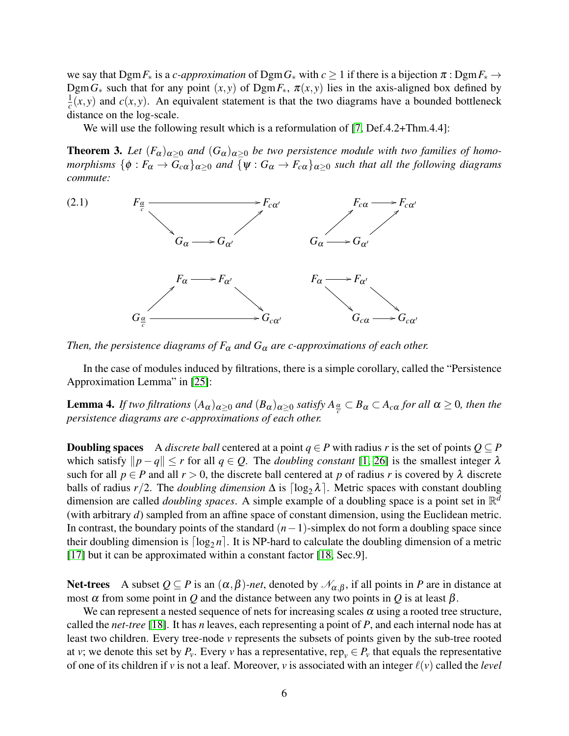we say that  $DgmF_*$  is a *c-approximation* of  $DgmG_*$  with  $c \ge 1$  if there is a bijection  $\pi : DgmF_* \to$ Dgm $G_*$  such that for any point  $(x, y)$  of Dgm $F_*$ ,  $\pi(x, y)$  lies in the axis-aligned box defined by 1  $\frac{1}{c}(x, y)$  and  $c(x, y)$ . An equivalent statement is that the two diagrams have a bounded bottleneck distance on the log-scale.

We will use the following result which is a reformulation of [\[7,](#page-20-7) Def.4.2+Thm.4.4]:

<span id="page-5-0"></span>**Theorem 3.** Let  $(F_\alpha)_{\alpha\geq 0}$  and  $(G_\alpha)_{\alpha\geq 0}$  be two persistence module with two families of homo*morphisms*  $\{\phi : F_\alpha \to G_{c\alpha}\}_{\alpha>0}$  *and*  $\{\psi : G_\alpha \to F_{c\alpha}\}_{\alpha>0}$  *such that all the following diagrams commute:*

<span id="page-5-1"></span>

*Then, the persistence diagrams of*  $F_{\alpha}$  *and*  $G_{\alpha}$  *are c-approximations of each other.* 

In the case of modules induced by filtrations, there is a simple corollary, called the "Persistence Approximation Lemma" in [\[25\]](#page-21-0):

<span id="page-5-2"></span>**Lemma 4.** *If two filtrations*  $(A_{\alpha})_{\alpha \geq 0}$  *and*  $(B_{\alpha})_{\alpha \geq 0}$  *satisfy*  $A_{\frac{\alpha}{c}} \subset B_{\alpha} \subset A_{c\alpha}$  *for all*  $\alpha \geq 0$ *, then the persistence diagrams are c-approximations of each other.*

**Doubling spaces** A *discrete ball* centered at a point  $q \in P$  with radius *r* is the set of points  $Q \subseteq P$ which satisfy  $\|p - q\| \le r$  for all  $q \in \mathcal{Q}$ . The *doubling constant* [\[1,](#page-20-9) [26\]](#page-21-10) is the smallest integer  $\lambda$ such for all  $p \in P$  and all  $r > 0$ , the discrete ball centered at p of radius r is covered by  $\lambda$  discrete balls of radius  $r/2$ . The *doubling dimension*  $\Delta$  is  $\lceil \log_2 \lambda \rceil$ . Metric spaces with constant doubling dimension are called *doubling spaces*. A simple example of a doubling space is a point set in R *d* (with arbitrary *d*) sampled from an affine space of constant dimension, using the Euclidean metric. In contrast, the boundary points of the standard (*n*−1)-simplex do not form a doubling space since their doubling dimension is  $\lceil \log_2 n \rceil$ . It is NP-hard to calculate the doubling dimension of a metric [\[17\]](#page-21-11) but it can be approximated within a constant factor [\[18,](#page-21-3) Sec.9].

Net-trees A subset  $Q \subseteq P$  is an  $(\alpha, \beta)$ -net, denoted by  $\mathcal{N}_{\alpha,\beta}$ , if all points in P are in distance at most  $\alpha$  from some point in *Q* and the distance between any two points in *Q* is at least  $\beta$ .

We can represent a nested sequence of nets for increasing scales  $\alpha$  using a rooted tree structure, called the *net-tree* [\[18\]](#page-21-3). It has *n* leaves, each representing a point of *P*, and each internal node has at least two children. Every tree-node *v* represents the subsets of points given by the sub-tree rooted at *v*; we denote this set by  $P_v$ . Every *v* has a representative, rep<sub>*v*</sub>  $\in P_v$  that equals the representative of one of its children if *v* is not a leaf. Moreover, *v* is associated with an integer  $\ell(v)$  called the *level*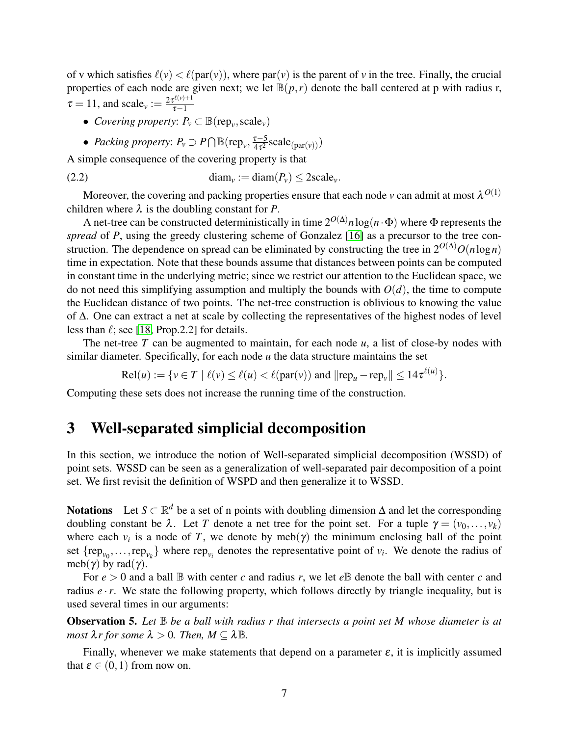of v which satisfies  $\ell(v) < \ell(\text{par}(v))$ , where par(*v*) is the parent of *v* in the tree. Finally, the crucial properties of each node are given next; we let  $\mathbb{B}(p,r)$  denote the ball centered at p with radius r,  $\tau = 11$ , and scale<sub>v</sub> :=  $\frac{2\tau^{\ell(\nu)+1}}{\tau-1}$  $\tau-1$ 

- *Covering property:*  $P_v \subset \mathbb{B}(\text{rep}_v, \text{scale}_v)$
- <span id="page-6-2"></span>• *Packing property:*  $P_v \supset P \bigcap \mathbb{B}(\text{rep}_v, \frac{\tau - 5}{4\tau^2})$  $\frac{\tau-5}{4\tau^2}$ scale<sub>(par(v))</sub>)

A simple consequence of the covering property is that

(2.2) 
$$
\text{diam}_{\nu} := \text{diam}(P_{\nu}) \leq 2 \text{scale}_{\nu}.
$$

Moreover, the covering and packing properties ensure that each node *v* can admit at most  $\lambda^{O(1)}$ children where  $\lambda$  is the doubling constant for *P*.

A net-tree can be constructed deterministically in time  $2^{O(\Delta)}n\log(n \cdot \Phi)$  where  $\Phi$  represents the *spread* of *P*, using the greedy clustering scheme of Gonzalez [\[16\]](#page-21-12) as a precursor to the tree construction. The dependence on spread can be eliminated by constructing the tree in  $2^{O(\Delta)}O(n \log n)$ time in expectation. Note that these bounds assume that distances between points can be computed in constant time in the underlying metric; since we restrict our attention to the Euclidean space, we do not need this simplifying assumption and multiply the bounds with  $O(d)$ , the time to compute the Euclidean distance of two points. The net-tree construction is oblivious to knowing the value of ∆. One can extract a net at scale by collecting the representatives of the highest nodes of level less than  $\ell$ ; see [\[18,](#page-21-3) Prop.2.2] for details.

The net-tree *T* can be augmented to maintain, for each node *u*, a list of close-by nodes with similar diameter. Specifically, for each node *u* the data structure maintains the set

 $\text{Rel}(u) := \{ v \in T \mid \ell(v) \leq \ell(u) < \ell(\text{par}(v)) \text{ and } ||\text{rep}_u - \text{rep}_v|| \leq 14\tau^{\ell(u)} \}.$ 

Computing these sets does not increase the running time of the construction.

### <span id="page-6-0"></span>3 Well-separated simplicial decomposition

In this section, we introduce the notion of Well-separated simplicial decomposition (WSSD) of point sets. WSSD can be seen as a generalization of well-separated pair decomposition of a point set. We first revisit the definition of WSPD and then generalize it to WSSD.

Notations Let  $S \subset \mathbb{R}^d$  be a set of n points with doubling dimension  $\Delta$  and let the corresponding doubling constant be  $\lambda$ . Let *T* denote a net tree for the point set. For a tuple  $\gamma = (v_0, \ldots, v_k)$ where each  $v_i$  is a node of *T*, we denote by meb( $\gamma$ ) the minimum enclosing ball of the point set  $\{rep_{v_0}, \ldots, rep_{v_k}\}\$  where  $rep_{v_i}$  denotes the representative point of  $v_i$ . We denote the radius of meb( $\gamma$ ) by rad( $\gamma$ ).

For  $e > 0$  and a ball  $\mathbb B$  with center *c* and radius *r*, we let  $e \mathbb B$  denote the ball with center *c* and radius *e* ·*r*. We state the following property, which follows directly by triangle inequality, but is used several times in our arguments:

<span id="page-6-1"></span>Observation 5. *Let* B *be a ball with radius r that intersects a point set M whose diameter is at most*  $\lambda r$  *for some*  $\lambda > 0$ *. Then,*  $M \subseteq \lambda \mathbb{B}$ *.* 

Finally, whenever we make statements that depend on a parameter  $\varepsilon$ , it is implicitly assumed that  $\varepsilon \in (0,1)$  from now on.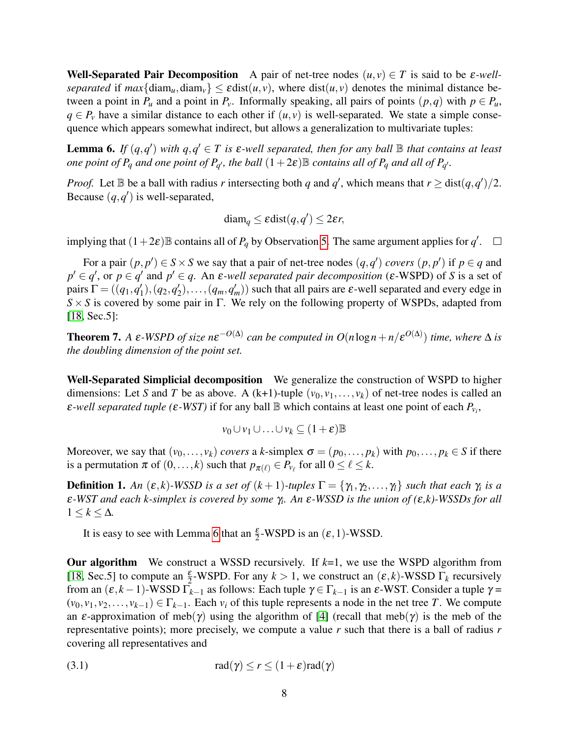Well-Separated Pair Decomposition A pair of net-tree nodes  $(u, v) \in T$  is said to be  $\varepsilon$ -well*separated* if  $max\{\text{diam}_{u},\text{diam}_{v}\}\leq \epsilon \text{dist}(u,v)$ , where  $dist(u,v)$  denotes the minimal distance between a point in  $P_u$  and a point in  $P_v$ . Informally speaking, all pairs of points  $(p,q)$  with  $p \in P_u$ ,  $q \in P$ <sup>*v*</sup> have a similar distance to each other if  $(u, v)$  is well-separated. We state a simple consequence which appears somewhat indirect, but allows a generalization to multivariate tuples:

<span id="page-7-0"></span>**Lemma 6.** If  $(q, q')$  with  $q, q' \in T$  is  $\varepsilon$ -well separated, then for any ball  $\mathbb B$  that contains at least *one point of P<sub>q</sub> and one point of P<sub>q</sub>*<sup>*, the ball*  $(1+2\varepsilon)$ B *contains all of P<sub>q</sub></sub> <i>and all of P<sub>q</sub>*<sup>*.*</sup></sup>

*Proof.* Let  $\mathbb B$  be a ball with radius *r* intersecting both *q* and *q*', which means that  $r \geq \text{dist}(q, q')/2$ . Because  $(q, q')$  is well-separated,

$$
\text{diam}_q \leq \varepsilon \text{dist}(q, q') \leq 2\varepsilon r,
$$

implying that  $(1+2\varepsilon)$  **B** contains all of  $P_q$  by Observation [5.](#page-6-1) The same argument applies for  $q'$ .

For a pair  $(p, p') \in S \times S$  we say that a pair of net-tree nodes  $(q, q')$  *covers*  $(p, p')$  if  $p \in q$  and  $p' \in q'$ , or  $p \in q'$  and  $p' \in q$ . An  $\varepsilon$ *-well separated pair decomposition* ( $\varepsilon$ -WSPD) of *S* is a set of pairs  $\Gamma = ((q_1, q_1)$  $\binom{1}{1}$ ,  $\left(q_2, q'_2\right)$  $\mathcal{L}_2$ ,...,  $(q_m, q'_m)$  such that all pairs are  $\varepsilon$ -well separated and every edge in *S* × *S* is covered by some pair in Γ. We rely on the following property of WSPDs, adapted from [\[18,](#page-21-3) Sec.5]:

**Theorem 7.** A  $\varepsilon$ -WSPD of size  $n\varepsilon^{-O(\Delta)}$  can be computed in  $O(n \log n + n/\varepsilon^{O(\Delta)})$  time, where  $\Delta$  is *the doubling dimension of the point set.*

Well-Separated Simplicial decomposition We generalize the construction of WSPD to higher dimensions: Let *S* and *T* be as above. A (k+1)-tuple  $(v_0, v_1, \ldots, v_k)$  of net-tree nodes is called an  $\varepsilon$ -well separated tuple ( $\varepsilon$ -WST) if for any ball  $\mathbb B$  which contains at least one point of each  $P_{v_i}$ ,

$$
v_0 \cup v_1 \cup \ldots \cup v_k \subseteq (1+\varepsilon)\mathbb{B}
$$

Moreover, we say that  $(v_0, \ldots, v_k)$  *covers* a *k*-simplex  $\sigma = (p_0, \ldots, p_k)$  with  $p_0, \ldots, p_k \in S$  if there is a permutation  $\pi$  of  $(0, \ldots, k)$  such that  $p_{\pi(\ell)} \in P_{\nu_{\ell}}$  for all  $0 \leq \ell \leq k$ .

**Definition 1.** An  $(\varepsilon, k)$ -WSSD is a set of  $(k + 1)$ -tuples  $\Gamma = \{\gamma_1, \gamma_2, \ldots, \gamma_l\}$  such that each  $\gamma_i$  is a ε*-WST and each k-simplex is covered by some* γ*<sup>i</sup> . An* ε*-WSSD is the union of (*ε*,k)-WSSDs for all*  $1 \leq k \leq \Delta$ .

It is easy to see with Lemma [6](#page-7-0) that an  $\frac{\varepsilon}{2}$ -WSPD is an  $(\varepsilon, 1)$ -WSSD.

**Our algorithm** We construct a WSSD recursively. If  $k=1$ , we use the WSPD algorithm from [\[18,](#page-21-3) Sec.5] to compute an  $\frac{\varepsilon}{2}$ -WSPD. For any  $k > 1$ , we construct an  $(\varepsilon, k)$ -WSSD  $\Gamma_k$  recursively from an  $(\varepsilon, k-1)$ -WSSD  $\overline{\Gamma}_{k-1}$  as follows: Each tuple  $\gamma \in \Gamma_{k-1}$  is an  $\varepsilon$ -WST. Consider a tuple  $\gamma =$  $(v_0, v_1, v_2, \ldots, v_{k-1}) \in \Gamma_{k-1}$ . Each  $v_i$  of this tuple represents a node in the net tree *T*. We compute an  $\varepsilon$ -approximation of meb(γ) using the algorithm of [\[4\]](#page-20-10) (recall that meb(γ) is the meb of the representative points); more precisely, we compute a value *r* such that there is a ball of radius *r* covering all representatives and

<span id="page-7-1"></span>(3.1) 
$$
\operatorname{rad}(\gamma) \le r \le (1+\varepsilon)\operatorname{rad}(\gamma)
$$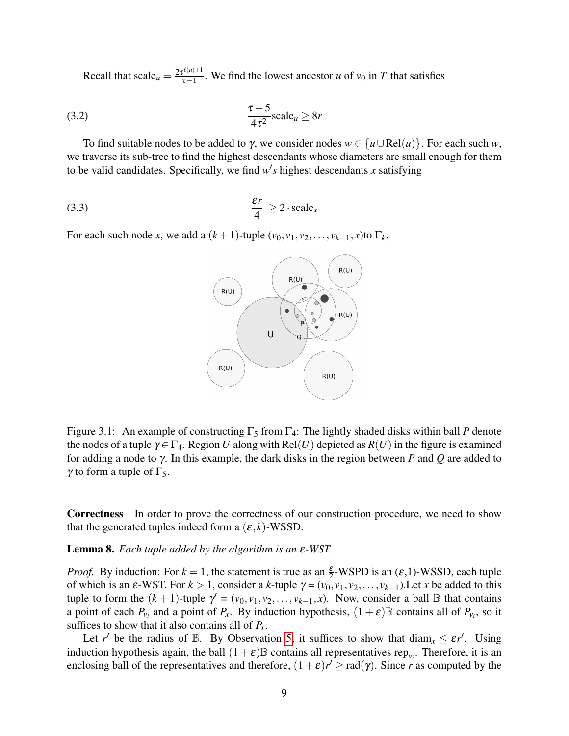Recall that  $\text{scale}_{u} = \frac{2\tau^{\ell(u)+1}}{\tau-1}$  $\frac{\tau_{\text{ref}}(u)}{\tau - 1}$ . We find the lowest ancestor *u* of *v*<sub>0</sub> in *T* that satisfies

$$
\frac{\tau - 5}{4\tau^2} \text{scale}_u \ge 8r
$$

To find suitable nodes to be added to  $\gamma$ , we consider nodes  $w \in \{u \cup Rel(u)\}\$ . For each such *w*, we traverse its sub-tree to find the highest descendants whose diameters are small enough for them to be valid candidates. Specifically, we find  $w's$  highest descendants *x* satisfying

$$
\frac{\varepsilon r}{4} \ge 2 \cdot \text{scale}_{x}
$$

For each such node *x*, we add a  $(k+1)$ -tuple  $(v_0, v_1, v_2, \ldots, v_{k-1}, x)$ to  $\Gamma_k$ .

<span id="page-8-2"></span><span id="page-8-1"></span>

Figure 3.1: An example of constructing  $\Gamma_5$  from  $\Gamma_4$ : The lightly shaded disks within ball *P* denote the nodes of a tuple  $\gamma \in \Gamma_4$ . Region *U* along with Rel(*U*) depicted as  $R(U)$  in the figure is examined for adding a node to γ. In this example, the dark disks in the region between *P* and *Q* are added to  $γ$  to form a tuple of Γ<sub>5</sub>.

Correctness In order to prove the correctness of our construction procedure, we need to show that the generated tuples indeed form a  $(\varepsilon, k)$ -WSSD.

#### <span id="page-8-0"></span>Lemma 8. *Each tuple added by the algorithm is an* ε*-WST.*

*Proof.* By induction: For  $k = 1$ , the statement is true as an  $\frac{\varepsilon}{2}$ -WSPD is an  $(\varepsilon, 1)$ -WSSD, each tuple of which is an  $\varepsilon$ -WST. For  $k > 1$ , consider a  $k$ -tuple  $\gamma = (v_0, v_1, v_2, \dots, v_{k-1})$ . Let  $x$  be added to this tuple to form the  $(k + 1)$ -tuple  $\gamma' = (v_0, v_1, v_2, \dots, v_{k-1}, x)$ . Now, consider a ball  $\mathbb B$  that contains a point of each  $P_{v_i}$  and a point of  $P_x$ . By induction hypothesis,  $(1+\varepsilon)\mathbb{B}$  contains all of  $P_{v_i}$ , so it suffices to show that it also contains all of  $P_x$ .

Let *r'* be the radius of B. By Observation [5,](#page-6-1) it suffices to show that  $\text{diam}_x \leq \varepsilon r'$ . Using induction hypothesis again, the ball  $(1+\varepsilon)\mathbb{B}$  contains all representatives rep<sub>*v<sub>i</sub>*</sub>. Therefore, it is an enclosing ball of the representatives and therefore,  $(1+\varepsilon)r' \geq rad(\gamma)$ . Since *r* as computed by the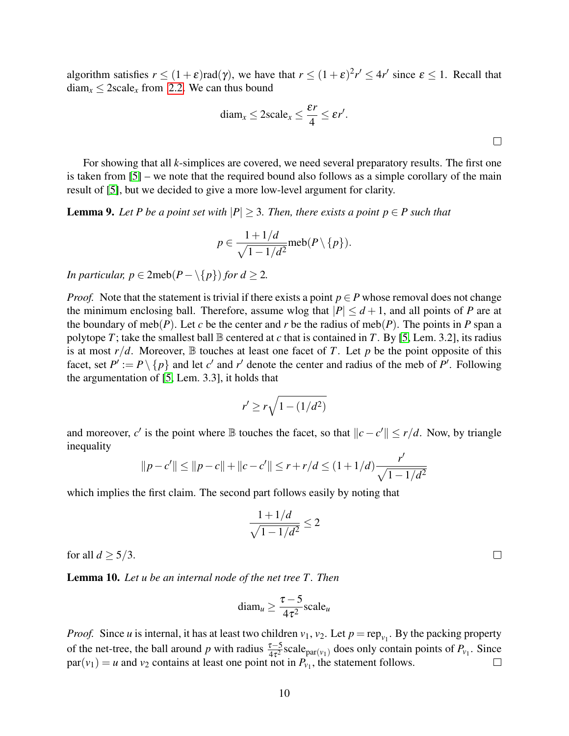algorithm satisfies  $r \le (1+\varepsilon)rad(\gamma)$ , we have that  $r \le (1+\varepsilon)^2 r' \le 4r'$  since  $\varepsilon \le 1$ . Recall that  $\text{diam}_x \leq 2 \text{scale}_x$  from [2.2.](#page-6-2) We can thus bound

$$
diam_x \leq 2scale_x \leq \frac{\varepsilon r}{4} \leq \varepsilon r'.
$$

For showing that all *k*-simplices are covered, we need several preparatory results. The first one is taken from [\[5\]](#page-20-1) – we note that the required bound also follows as a simple corollary of the main result of [\[5\]](#page-20-1), but we decided to give a more low-level argument for clarity.

<span id="page-9-0"></span>**Lemma 9.** Let P be a point set with  $|P| \geq 3$ . Then, there exists a point  $p \in P$  such that

$$
p \in \frac{1 + 1/d}{\sqrt{1 - 1/d^2}} \text{meb}(P \setminus \{p\}).
$$

*In particular, p*  $\in$  2meb( $P - \{p\}$ ) *for d*  $\geq$  2*.* 

*Proof.* Note that the statement is trivial if there exists a point  $p \in P$  whose removal does not change the minimum enclosing ball. Therefore, assume wlog that  $|P| \le d+1$ , and all points of *P* are at the boundary of meb( $P$ ). Let  $c$  be the center and  $r$  be the radius of meb( $P$ ). The points in  $P$  span a polytope *T*; take the smallest ball  $\mathbb B$  centered at *c* that is contained in *T*. By [\[5,](#page-20-1) Lem. 3.2], its radius is at most  $r/d$ . Moreover,  $\mathbb B$  touches at least one facet of *T*. Let *p* be the point opposite of this facet, set  $P' := P \setminus \{p\}$  and let *c*' and *r*' denote the center and radius of the meb of *P*'. Following the argumentation of [\[5,](#page-20-1) Lem. 3.3], it holds that

$$
r' \ge r\sqrt{1 - (1/d^2)}
$$

and moreover, *c'* is the point where B touches the facet, so that  $||c - c'|| \le r/d$ . Now, by triangle inequality

$$
||p - c'|| \le ||p - c|| + ||c - c'|| \le r + r/d \le (1 + 1/d) \frac{r'}{\sqrt{1 - 1/d^2}}
$$

which implies the first claim. The second part follows easily by noting that

$$
\frac{1+1/d}{\sqrt{1-1/d^2}} \le 2
$$

for all  $d > 5/3$ .

<span id="page-9-1"></span>Lemma 10. *Let u be an internal node of the net tree T . Then*

$$
diam_u \geq \frac{\tau - 5}{4\tau^2} scale_u
$$

*Proof.* Since *u* is internal, it has at least two children  $v_1$ ,  $v_2$ . Let  $p = rep_{v_1}$ . By the packing property of the net-tree, the ball around *p* with radius  $\frac{\tau-5}{4\tau^2}$  scale par(*v*<sub>1</sub>) does only contain points of  $P_{v_1}$ . Since  $par(v_1) = u$  and  $v_2$  contains at least one point not in  $P_{v_1}$ , the statement follows.  $\Box$ 

 $\Box$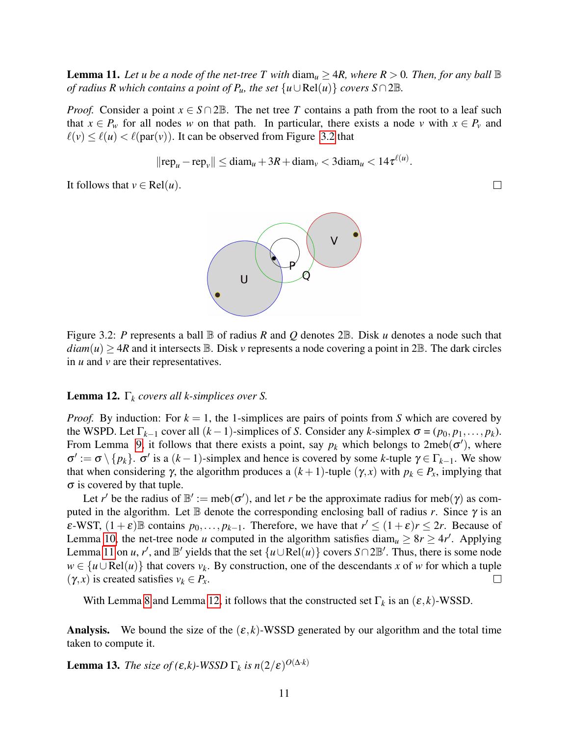<span id="page-10-1"></span>**Lemma 11.** Let u be a node of the net-tree T with  $\text{diam}_u \geq 4R$ , where  $R > 0$ . Then, for any ball  $\mathbb B$ *of radius R which contains a point of*  $P_u$ *, the set*  $\{u \cup Rel(u)\}$  *covers*  $S \cap 2\mathbb{B}$ *.* 

*Proof.* Consider a point  $x \in S \cap 2\mathbb{B}$ . The net tree *T* contains a path from the root to a leaf such that  $x \in P_w$  for all nodes *w* on that path. In particular, there exists a node *v* with  $x \in P_v$  and  $\ell(v) \leq \ell(u) < \ell(\text{par}(v))$ . It can be observed from Figure [3.2](#page-10-0) that

$$
||\text{rep}_u - \text{rep}_v|| \le \text{diam}_u + 3R + \text{diam}_v < 3\text{diam}_u < 14\tau^{\ell(u)}
$$
.

It follows that  $v \in Rel(u)$ .



<span id="page-10-0"></span>Figure 3.2: *P* represents a ball B of radius *R* and *Q* denotes 2B. Disk *u* denotes a node such that  $diam(u) \geq 4R$  and it intersects  $\mathbb B$ . Disk *v* represents a node covering a point in 2 $\mathbb B$ . The dark circles in *u* and *v* are their representatives.

#### <span id="page-10-2"></span>Lemma 12. Γ*<sup>k</sup> covers all k-simplices over S.*

*Proof.* By induction: For  $k = 1$ , the 1-simplices are pairs of points from *S* which are covered by the WSPD. Let  $\Gamma_{k-1}$  cover all  $(k-1)$ -simplices of *S*. Consider any *k*-simplex  $\sigma = (p_0, p_1, \dots, p_k)$ . From Lemma [9,](#page-9-0) it follows that there exists a point, say  $p_k$  which belongs to  $2\text{meb}(\sigma')$ , where  $\sigma' := \sigma \setminus \{p_k\}.$   $\sigma'$  is a  $(k-1)$ -simplex and hence is covered by some *k*-tuple  $\gamma \in \Gamma_{k-1}$ . We show that when considering  $\gamma$ , the algorithm produces a  $(k+1)$ -tuple  $(\gamma, x)$  with  $p_k \in P_x$ , implying that  $\sigma$  is covered by that tuple.

Let *r'* be the radius of  $\mathbb{B}' := \text{meb}(\sigma')$ , and let *r* be the approximate radius for meb( $\gamma$ ) as computed in the algorithm. Let  $\mathbb B$  denote the corresponding enclosing ball of radius *r*. Since  $\gamma$  is an  $\epsilon$ -WST,  $(1 + \epsilon)$  contains  $p_0, \ldots, p_{k-1}$ . Therefore, we have that  $r' \leq (1 + \epsilon)r \leq 2r$ . Because of Lemma [10,](#page-9-1) the net-tree node *u* computed in the algorithm satisfies diam<sub>*u*</sub>  $\geq 8r \geq 4r'$ . Applying Lemma [11](#page-10-1) on *u*, *r'*, and  $\mathbb{B}'$  yields that the set  $\{u \cup Rel(u)\}$  covers *S*∩2 $\mathbb{B}'$ . Thus, there is some node  $w \in \{u \cup Rel(u)\}\$  that covers  $v_k$ . By construction, one of the descendants *x* of *w* for which a tuple  $(\gamma, x)$  is created satisfies  $v_k \in P_x$ .  $\Box$ 

With Lemma [8](#page-8-0) and Lemma [12,](#page-10-2) it follows that the constructed set  $\Gamma_k$  is an  $(\varepsilon, k)$ -WSSD.

**Analysis.** We bound the size of the  $(\varepsilon, k)$ -WSSD generated by our algorithm and the total time taken to compute it.

<span id="page-10-3"></span>**Lemma 13.** *The size of (ε,k)*-WSSD  $\Gamma_k$  *is n*(2/ε)<sup>*O*( $\Delta$ *·k*)</sub></sup>

 $\Box$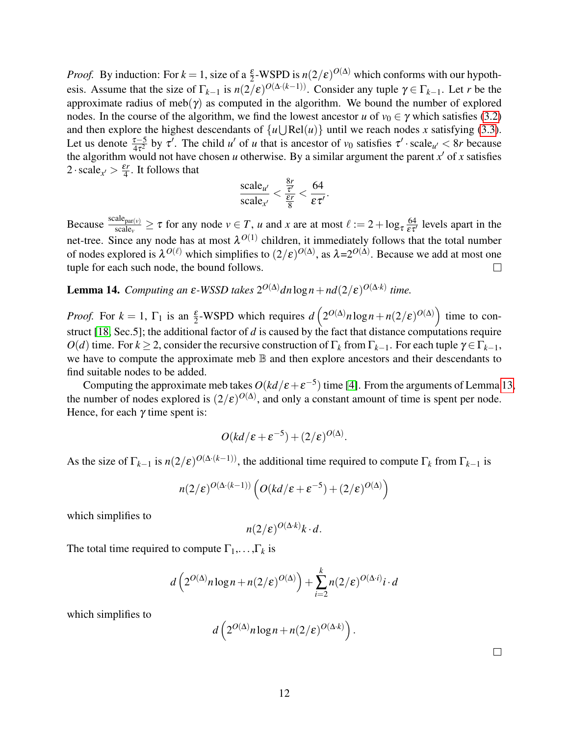*Proof.* By induction: For  $k = 1$ , size of a  $\frac{\varepsilon}{2}$ -WSPD is  $n(2/\varepsilon)^{O(\Delta)}$  which conforms with our hypothesis. Assume that the size of  $\Gamma_{k-1}$  is  $n(2/\varepsilon)^{O(\Delta \cdot (k-1))}$ . Consider any tuple  $\gamma \in \Gamma_{k-1}$ . Let *r* be the approximate radius of meb( $\gamma$ ) as computed in the algorithm. We bound the number of explored nodes. In the course of the algorithm, we find the lowest ancestor *u* of  $v_0 \in \gamma$  which satisfies [\(3.2\)](#page-8-1) and then explore the highest descendants of  $\{u \cup \text{Rel}(u)\}$  until we reach nodes *x* satisfying [\(3.3\)](#page-8-2). Let us denote  $\frac{\tau-5}{4\tau^2}$  by  $\tau'$ . The child *u'* of *u* that is ancestor of *v*<sub>0</sub> satisfies  $\tau'$  scale<sub>u'</sub> < 8*r* because the algorithm would not have chosen *u* otherwise. By a similar argument the parent  $x'$  of x satisfies  $2 \cdot \text{scale}_{x'} > \frac{\varepsilon r}{4}$  $\frac{3r}{4}$ . It follows that

$$
\frac{\text{scale}_{u'}}{\text{scale}_{x'}} < \frac{\frac{8r}{\tau'}}{\frac{\varepsilon r}{8}} < \frac{64}{\varepsilon \tau'}
$$

.

Because  $\frac{\text{scale}_{\text{par}(v)}}{\text{scale}_{v}} \ge \tau$  for any node  $v \in T$ , *u* and *x* are at most  $\ell := 2 + \log_{\tau} \frac{64}{\epsilon \tau'}$  levels apart in the net-tree. Since any node has at most  $\lambda^{O(1)}$  children, it immediately follows that the total number of nodes explored is  $\lambda^{O(\ell)}$  which simplifies to  $(2/\epsilon)^{O(\Delta)}$ , as  $\lambda = 2^{O(\Delta)}$ . Because we add at most one tuple for each such node, the bound follows.

**Lemma 14.** *Computing an ε-WSSD takes*  $2^{O(\Delta)}dn \log n + nd(2/\epsilon)^{O(\Delta \cdot k)}$  time.

*Proof.* For  $k = 1$ ,  $\Gamma_1$  is an  $\frac{\varepsilon}{2}$ -WSPD which requires  $d\left(2^{O(\Delta)}n\log n + n(2/\varepsilon)^{O(\Delta)}\right)$  time to construct [\[18,](#page-21-3) Sec.5]; the additional factor of *d* is caused by the fact that distance computations require *O*(*d*) time. For *k* ≥ 2, consider the recursive construction of Γ<sub>*k*</sub> from Γ<sub>*k*−1</sub>. For each tuple  $γ ∈ Γ$ <sub>*k*−1</sub>, we have to compute the approximate meb  $\mathbb B$  and then explore ancestors and their descendants to find suitable nodes to be added.

Computing the approximate meb takes  $O(kd/\epsilon + \epsilon^{-5})$  time [\[4\]](#page-20-10). From the arguments of Lemma [13,](#page-10-3) the number of nodes explored is  $(2/\varepsilon)^{O(\Delta)}$ , and only a constant amount of time is spent per node. Hence, for each  $\gamma$  time spent is:

$$
O(kd/\varepsilon + \varepsilon^{-5}) + (2/\varepsilon)^{O(\Delta)}.
$$

As the size of  $\Gamma_{k-1}$  is  $n(2/\varepsilon)^{O(\Delta \cdot (k-1))}$ , the additional time required to compute  $\Gamma_k$  from  $\Gamma_{k-1}$  is

$$
n(2/\varepsilon)^{O(\Delta\cdot (k-1))}\left(O(kd/\varepsilon + \varepsilon^{-5}) + (2/\varepsilon)^{O(\Delta)}\right)
$$

which simplifies to

$$
n(2/\varepsilon)^{O(\Delta \cdot k)}k \cdot d.
$$

The total time required to compute  $\Gamma_1, \ldots, \Gamma_k$  is

$$
d\left(2^{O(\Delta)} n \log n + n(2/\varepsilon)^{O(\Delta)}\right) + \sum_{i=2}^{k} n(2/\varepsilon)^{O(\Delta \cdot i)} i \cdot d
$$

which simplifies to

$$
d\left(2^{O(\Delta)} n \log n + n(2/\varepsilon)^{O(\Delta \cdot k)}\right)
$$

.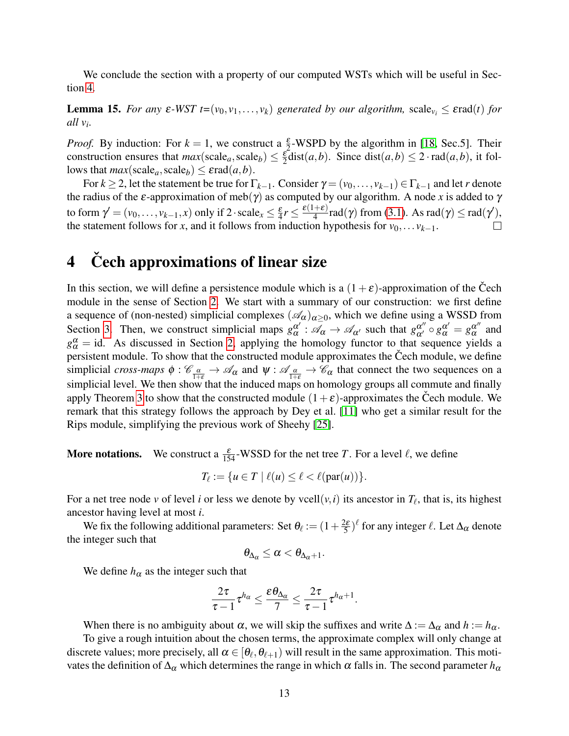We conclude the section with a property of our computed WSTs which will be useful in Section [4.](#page-12-0)

<span id="page-12-1"></span>**Lemma 15.** *For any*  $\varepsilon$ -WST  $t=(v_0, v_1,..., v_k)$  *generated by our algorithm,* scale $v_i \leq \varepsilon$ rad(*t*) *for all v<sup>i</sup> .*

*Proof.* By induction: For  $k = 1$ , we construct a  $\frac{\varepsilon}{2}$ -WSPD by the algorithm in [\[18,](#page-21-3) Sec.5]. Their construction ensures that  $max(scale_a, scale_b) \leq \frac{\varepsilon}{2}$  $\frac{\varepsilon}{2}$ dist(*a*,*b*). Since dist(*a*,*b*)  $\leq$  2 · rad(*a*,*b*), it follows that  $max(scale_a, scale_b) \leq \varepsilon rad(a, b)$ .

For  $k \ge 2$ , let the statement be true for  $\Gamma_{k-1}$ . Consider  $\gamma = (v_0, \ldots, v_{k-1}) \in \Gamma_{k-1}$  and let *r* denote the radius of the  $\varepsilon$ -approximation of meb( $\gamma$ ) as computed by our algorithm. A node x is added to  $\gamma$ to form  $\gamma' = (v_0, \dots, v_{k-1}, x)$  only if 2 · scale<sub>x</sub>  $\leq \frac{\varepsilon}{4}$  $rac{\varepsilon}{4}r \leq \frac{\varepsilon(1+\varepsilon)}{4}$  $\frac{+ \varepsilon}{4}$ rad(γ) from [\(3.1\)](#page-7-1). As rad(γ)  $\leq$  rad(γ'), the statement follows for *x*, and it follows from induction hypothesis for  $v_0, \ldots v_{k-1}$ .

## <span id="page-12-0"></span>4 Čech approximations of linear size

In this section, we will define a persistence module which is a  $(1+\varepsilon)$ -approximation of the Čech module in the sense of Section [2.](#page-3-0) We start with a summary of our construction: we first define a sequence of (non-nested) simplicial complexes  $(\mathscr{A}_{\alpha})_{\alpha>0}$ , which we define using a WSSD from Section [3.](#page-6-0) Then, we construct simplicial maps  $g_\alpha^{\alpha'}$  $\alpha' : \mathscr{A}_{\alpha} \to \mathscr{A}_{\alpha'}$  such that  $g_{\alpha'}^{\alpha''} \circ g_{\alpha}^{\alpha'} = g_{\alpha}^{\alpha''}$  $\alpha^{\prime\prime}$  and  $g_{\alpha}^{\alpha}$  = id. As discussed in Section [2,](#page-3-0) applying the homology functor to that sequence yields a persistent module. To show that the constructed module approximates the Čech module, we define simplicial *cross-maps*  $\phi : \mathcal{C}_{\frac{\alpha}{1+\epsilon}} \to \mathcal{A}_{\alpha}$  and  $\psi : \mathcal{A}_{\frac{\alpha}{1+\epsilon}} \to \mathcal{C}_{\alpha}$  that connect the two sequences on a simplicial level. We then show that the induced maps on homology groups all commute and finally apply Theorem [3](#page-5-0) to show that the constructed module  $(1+\varepsilon)$ -approximates the Cech module. We remark that this strategy follows the approach by Dey et al. [\[11\]](#page-20-0) who get a similar result for the Rips module, simplifying the previous work of Sheehy [\[25\]](#page-21-0).

**More notations.** We construct a  $\frac{\varepsilon}{154}$ -WSSD for the net tree *T*. For a level  $\ell$ , we define

$$
T_{\ell} := \{ u \in T \mid \ell(u) \leq \ell < \ell(\operatorname{par}(u)) \}.
$$

For a net tree node *v* of level *i* or less we denote by vcell $(v, i)$  its ancestor in  $T_\ell$ , that is, its highest ancestor having level at most *i*.

We fix the following additional parameters: Set  $\theta_{\ell} := (1 + \frac{2\varepsilon}{5})$  $\frac{2\varepsilon}{5}$ <sup> $\ell$ </sup> for any integer  $\ell$ . Let  $\Delta_{\alpha}$  denote the integer such that

$$
\theta_{\Delta_\alpha}\leq \alpha<\theta_{\Delta_\alpha+1}.
$$

We define  $h_{\alpha}$  as the integer such that

$$
\frac{2\tau}{\tau-1}\tau^{h_\alpha}\leq \frac{\epsilon\theta_{\Delta_\alpha}}{7}\leq \frac{2\tau}{\tau-1}\tau^{h_\alpha+1}.
$$

When there is no ambiguity about  $\alpha$ , we will skip the suffixes and write  $\Delta := \Delta_{\alpha}$  and  $h := h_{\alpha}$ .

To give a rough intuition about the chosen terms, the approximate complex will only change at discrete values; more precisely, all  $\alpha \in [\theta_\ell, \theta_{\ell+1})$  will result in the same approximation. This motivates the definition of  $\Delta_{\alpha}$  which determines the range in which  $\alpha$  falls in. The second parameter  $h_{\alpha}$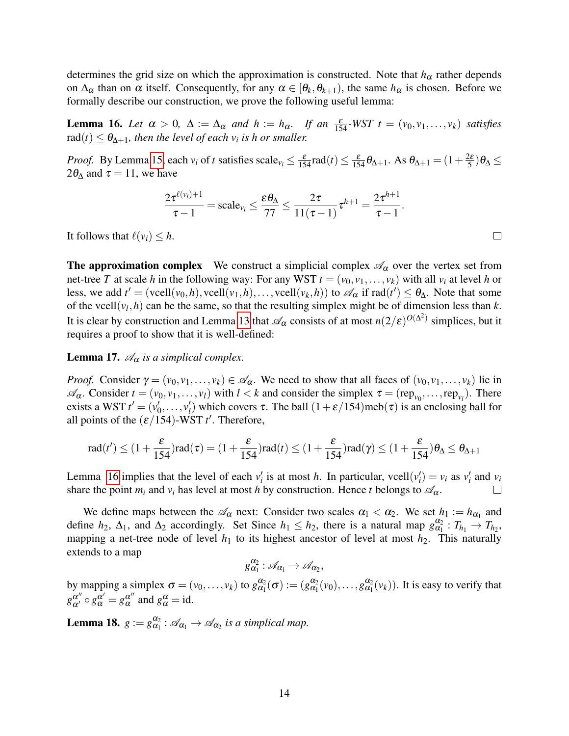determines the grid size on which the approximation is constructed. Note that  $h_{\alpha}$  rather depends on  $\Delta_{\alpha}$  than on  $\alpha$  itself. Consequently, for any  $\alpha \in [\theta_k, \theta_{k+1})$ , the same  $h_{\alpha}$  is chosen. Before we formally describe our construction, we prove the following useful lemma:

<span id="page-13-0"></span>**Lemma 16.** *Let*  $\alpha > 0$ ,  $\Delta := \Delta_{\alpha}$  *and*  $h := h_{\alpha}$ . *If an*  $\frac{\varepsilon}{154}$ -*WST*  $t = (v_0, v_1, \dots, v_k)$  *satisfies*  $\text{rad}(t) \leq \theta_{\Delta+1}$ , then the level of each  $v_i$  is h or smaller.

*Proof.* By Lemma [15,](#page-12-1) each  $v_i$  of *t* satisfies scale $v_i \leq \frac{\varepsilon}{154}$  rad(*t*)  $\leq \frac{\varepsilon}{154} \theta_{\Delta+1}$ . As  $\theta_{\Delta+1} = (1 + \frac{2\varepsilon}{5})$  $\frac{2\varepsilon}{5}$ ) $\theta_{\Delta}$   $\leq$  $2\theta_{\Delta}$  and  $\tau = 11$ , we have

$$
\frac{2\tau^{\ell(v_i)+1}}{\tau-1}=\text{scale}_{v_i}\leq \frac{\epsilon\theta_{\Delta}}{77}\leq \frac{2\tau}{11(\tau-1)}\tau^{h+1}=\frac{2\tau^{h+1}}{\tau-1}.
$$

It follows that  $\ell(v_i) \leq h$ .

**The approximation complex** We construct a simplicial complex  $\mathscr{A}_{\alpha}$  over the vertex set from net-tree *T* at scale *h* in the following way: For any WST  $t = (v_0, v_1, \ldots, v_k)$  with all  $v_i$  at level *h* or less, we add  $t' = ($ vcell $(v_0, h)$ , vcell $(v_1, h)$ ,..., vcell $(v_k, h)$  to  $\mathscr{A}_{\alpha}$  if  $rad(t') \le \theta_{\Delta}$ . Note that some of the vcell $(v_l, h)$  can be the same, so that the resulting simplex might be of dimension less than  $k$ . It is clear by construction and Lemma [13](#page-10-3) that  $\mathscr{A}_{\alpha}$  consists of at most  $n(2/\varepsilon)^{O(\Delta^2)}$  simplices, but it requires a proof to show that it is well-defined:

**Lemma 17.**  $\mathcal{A}_{\alpha}$  *is a simplical complex.* 

*Proof.* Consider  $\gamma = (v_0, v_1, \ldots, v_k) \in \mathcal{A}_{\alpha}$ . We need to show that all faces of  $(v_0, v_1, \ldots, v_k)$  lie in  $\mathscr{A}_{\alpha}$ . Consider  $t = (v_0, v_1, \dots, v_l)$  with  $l < k$  and consider the simplex  $\tau = (rep_{v_0}, \dots, rep_{v_l})$ . There exists a WST  $t' = (v_0')$  $v'_0, \ldots, v'_l$ *) which covers τ. The ball*  $(1+\varepsilon/154)$ *meb* $(\tau)$  *is an enclosing ball for* all points of the  $(\varepsilon/154)$ -WST *t'*. Therefore,

$$
\operatorname{rad}(t') \le (1 + \frac{\varepsilon}{154})\operatorname{rad}(\tau) = (1 + \frac{\varepsilon}{154})\operatorname{rad}(t) \le (1 + \frac{\varepsilon}{154})\operatorname{rad}(\gamma) \le (1 + \frac{\varepsilon}{154})\theta_{\Delta} \le \theta_{\Delta+1}
$$

Lemma [16](#page-13-0) implies that the level of each  $v'_i$  is at most *h*. In particular, vcell $(v'_i) = v_i$  as  $v'_i$  and  $v_i$ share the point  $m_i$  and  $v_i$  has level at most *h* by construction. Hence *t* belongs to  $\mathscr{A}_{\alpha}$ .  $\Box$ 

We define maps between the  $\mathscr{A}_{\alpha}$  next: Consider two scales  $\alpha_1 < \alpha_2$ . We set  $h_1 := h_{\alpha_1}$  and define  $h_2$ ,  $\Delta_1$ , and  $\Delta_2$  accordingly. Set Since  $h_1 \leq h_2$ , there is a natural map  $g_{\alpha_1}^{\alpha_2} : T_{h_1} \to T_{h_2}$ , mapping a net-tree node of level  $h_1$  to its highest ancestor of level at most  $h_2$ . This naturally extends to a map

$$
g_{\alpha_1}^{\alpha_2} : \mathscr{A}_{\alpha_1} \to \mathscr{A}_{\alpha_2},
$$

by mapping a simplex  $\sigma = (v_0, \dots, v_k)$  to  $g_{\alpha_1}^{\alpha_2}(\sigma) := (g_{\alpha_1}^{\alpha_2}(v_0), \dots, g_{\alpha_1}^{\alpha_2}(v_k))$ . It is easy to verify that  $g_{\alpha'}^{\alpha''} \circ g_\alpha^{\alpha'} = g_\alpha^{\alpha''}$  $\alpha^{\alpha}$  and  $g_{\alpha}^{\alpha} = id$ .

**Lemma 18.**  $g := g_{\alpha_1}^{\alpha_2} : \mathcal{A}_{\alpha_1} \to \mathcal{A}_{\alpha_2}$  is a simplical map.

 $\Box$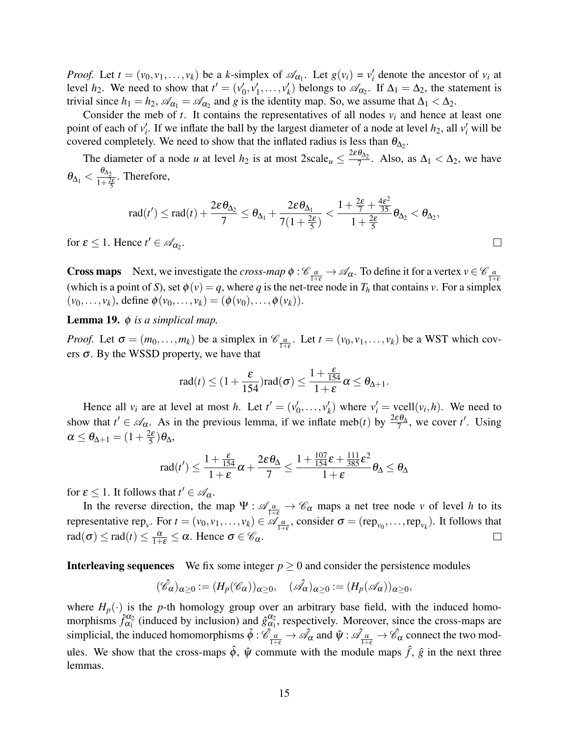*Proof.* Let  $t = (v_0, v_1, \dots, v_k)$  be a *k*-simplex of  $\mathcal{A}_{\alpha_1}$ . Let  $g(v_i) = v'_i$  denote the ancestor of  $v_i$  at level  $h_2$ . We need to show that  $t' = (v_0')$  $'_{0},v'_{1}$  $v'_1, \ldots, v'_k$  $\chi'_{k}$ ) belongs to  $\mathscr{A}_{\alpha_2}$ . If  $\Delta_1 = \Delta_2$ , the statement is trivial since  $h_1 = h_2$ ,  $\mathscr{A}_{\alpha_1} = \mathscr{A}_{\alpha_2}$  and *g* is the identity map. So, we assume that  $\Delta_1 < \Delta_2$ .

Consider the meb of  $t$ . It contains the representatives of all nodes  $v_i$  and hence at least one point of each of  $v'_i$ . If we inflate the ball by the largest diameter of a node at level  $h_2$ , all  $v'_i$  will be covered completely. We need to show that the inflated radius is less than  $\theta_{\Delta_2}$ .

The diameter of a node *u* at level  $h_2$  is at most  $2 \text{scale}_u \leq \frac{2 \varepsilon \theta_{\Delta_2}}{7}$  $\frac{\sigma_{\Delta_2}}{7}$ . Also, as  $\Delta_1 < \Delta_2$ , we have  $\theta_{\Delta_1}<\frac{\theta_{\Delta_2}}{1+\frac{2}{3}}$  $\frac{\sigma_{\Delta_2}}{1+\frac{2\epsilon}{5}}$ . Therefore,

$$
\operatorname{rad}(t')\leq \operatorname{rad}(t)+\frac{2\epsilon \theta_{\Delta_2}}{7}\leq \theta_{\Delta_1}+\frac{2\epsilon \theta_{\Delta_1}}{7(1+\frac{2\epsilon}{5})}<\frac{1+\frac{2\epsilon}{7}+\frac{4\epsilon^2}{35}}{1+\frac{2\epsilon}{5}}\theta_{\Delta_2}<\theta_{\Delta_2},
$$

 $\Box$ 

for  $\varepsilon \leq 1$ . Hence  $t' \in \mathcal{A}_{\alpha_2}$ .

**Cross maps** Next, we investigate the *cross-map*  $\phi$  :  $\mathcal{C}_{\frac{\alpha}{1+\varepsilon}} \to \mathcal{A}_{\alpha}$ . To define it for a vertex  $v \in \mathcal{C}_{\frac{\alpha}{1+\varepsilon}}$ (which is a point of *S*), set  $\phi(v) = q$ , where *q* is the net-tree node in  $T_h$  that contains *v*. For a simplex  $(v_0, \ldots, v_k)$ , define  $\phi(v_0, \ldots, v_k) = (\phi(v_0), \ldots, \phi(v_k)).$ 

Lemma 19. φ *is a simplical map.*

*Proof.* Let  $\sigma = (m_0, \ldots, m_k)$  be a simplex in  $\mathcal{C}_{\frac{\alpha}{1+\varepsilon}}$ . Let  $t = (v_0, v_1, \ldots, v_k)$  be a WST which covers  $\sigma$ . By the WSSD property, we have that

$$
rad(t) \leq (1 + \frac{\varepsilon}{154})\operatorname{rad}(\sigma) \leq \frac{1 + \frac{\varepsilon}{154}}{1 + \varepsilon} \alpha \leq \theta_{\Delta + 1}.
$$

Hence all  $v_i$  are at level at most *h*. Let  $t' = (v'_0)$  $v'_0, \ldots, v'_k$  $v'_i$  where  $v'_i$  = vcell $(v_i, h)$ . We need to show that  $t' \in \mathscr{A}_{\alpha}$ . As in the previous lemma, if we inflate meb(*t*) by  $\frac{2\varepsilon\theta_{\Delta}}{7}$ , we cover *t'*. Using  $\alpha \leq \theta_{\Delta+1} = (1 + \frac{2\varepsilon}{5})$  $\frac{2\varepsilon}{5}$ ) $\theta_{\Delta}$ ,

$$
\operatorname{rad}(t')\leq \frac{1+\frac{\varepsilon}{154}}{1+\varepsilon}\alpha+\frac{2\varepsilon\theta_\Delta}{7}\leq \frac{1+\frac{107}{154}\varepsilon+\frac{111}{385}\varepsilon^2}{1+\varepsilon}\theta_\Delta\leq \theta_\Delta
$$

for  $\varepsilon \leq 1$ . It follows that  $t' \in \mathscr{A}_{\alpha}$ .

In the reverse direction, the map  $\Psi$  :  $\mathscr{A}_{\frac{\alpha}{1+\varepsilon}} \to \mathscr{C}_{\alpha}$  maps a net tree node *v* of level *h* to its representative rep<sub>*v*</sub>. For  $t = (v_0, v_1, \dots, v_k) \in \mathscr{A}_{\frac{\alpha}{1+\varepsilon}}$ , consider  $\sigma = (rep_{v_0}, \dots, rep_{v_k})$ . It follows that  $\text{rad}(\sigma) \le \text{rad}(t) \le \frac{\alpha}{1+\varepsilon} \le \alpha$ . Hence  $\sigma \in \mathscr{C}_{\alpha}$ .  $\Box$ 

**Interleaving sequences** We fix some integer  $p \ge 0$  and consider the persistence modules

$$
(\hat{\mathscr{C}}_{\alpha})_{\alpha\geq 0}:=(H_p(\mathscr{C}_{\alpha}))_{\alpha\geq 0},\quad (\hat{\mathscr{A}}_{\alpha})_{\alpha\geq 0}:=(H_p(\mathscr{A}_{\alpha}))_{\alpha\geq 0},
$$

where  $H_p(\cdot)$  is the *p*-th homology group over an arbitrary base field, with the induced homomorphisms  $\hat{f}_{\alpha_1}^{\alpha_2}$  (induced by inclusion) and  $\hat{g}_{\alpha_1}^{\alpha_2}$ , respectively. Moreover, since the cross-maps are simplicial, the induced homomorphisms  $\hat{\phi}: \hat{\mathscr{C}}_{\frac{\alpha}{1+\epsilon}} \to \hat{\mathscr{A}}_{\alpha}$  and  $\hat{\psi}: \hat{\mathscr{A}}_{\frac{\alpha}{1+\epsilon}} \to \hat{\mathscr{C}}_{\alpha}$  connect the two modules. We show that the cross-maps  $\hat{\phi}$ ,  $\hat{\psi}$  commute with the module maps  $\hat{f}$ ,  $\hat{g}$  in the next three lemmas.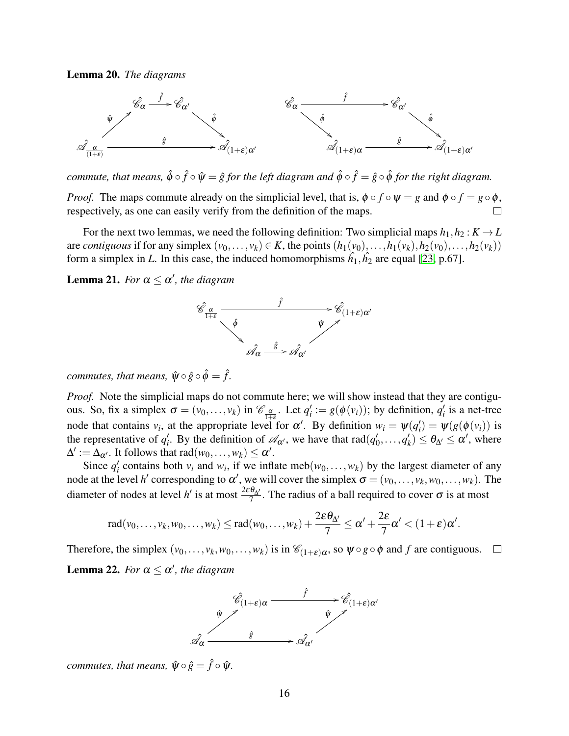<span id="page-15-1"></span>Lemma 20. *The diagrams*



*commute, that means,*  $\hat{\phi} \circ \hat{f} \circ \hat{\psi} = \hat{g}$  *for the left diagram and*  $\hat{\phi} \circ \hat{f} = \hat{g} \circ \hat{\phi}$  *for the right diagram.* 

*Proof.* The maps commute already on the simplicial level, that is,  $\phi \circ f \circ \psi = g$  and  $\phi \circ f = g \circ \phi$ , respectively, as one can easily verify from the definition of the maps.

For the next two lemmas, we need the following definition: Two simplicial maps  $h_1, h_2 : K \to L$ are *contiguous* if for any simplex  $(v_0, \ldots, v_k) \in K$ , the points  $(h_1(v_0), \ldots, h_1(v_k), h_2(v_0), \ldots, h_2(v_k))$ form a simplex in *L*. In this case, the induced homomorphisms  $\hat{h}_1, \hat{h}_2$  are equal [\[23,](#page-21-9) p.67].

<span id="page-15-0"></span>**Lemma 21.** For  $\alpha \leq \alpha'$ , the diagram



*commutes, that means,*  $\hat{\psi} \circ \hat{g} \circ \hat{\phi} = \hat{f}$ .

*Proof.* Note the simplicial maps do not commute here; we will show instead that they are contiguous. So, fix a simplex  $\sigma = (v_0, \ldots, v_k)$  in  $\mathcal{C}_{\frac{\alpha}{1+\varepsilon}}$ . Let  $q'_i := g(\phi(v_i))$ ; by definition,  $q'_i$  is a net-tree node that contains  $v_i$ , at the appropriate level for  $\alpha'$ . By definition  $w_i = \psi(q'_i) = \psi(g(\phi(v_i))$  is the representative of  $q_i'$ . By the definition of  $\mathcal{A}_{\alpha'}$ , we have that rad( $q_i'$ )  $q'_0, \ldots, q'_k$  $\alpha'_k$ )  $\leq \theta_{\Delta'} \leq \alpha'$ , where  $\Delta' := \Delta_{\alpha'}$ . It follows that rad $(w_0, \ldots, w_k) \leq \alpha'$ .

Since  $q'_i$  contains both  $v_i$  and  $w_i$ , if we inflate meb( $w_0, \ldots, w_k$ ) by the largest diameter of any node at the level *h*' corresponding to  $\alpha'$ , we will cover the simplex  $\sigma = (v_0, \dots, v_k, w_0, \dots, w_k)$ . The diameter of nodes at level *h*<sup> $\prime$ </sup> is at most  $\frac{2\varepsilon\theta_{\Delta'}}{7}$ . The radius of a ball required to cover  $\sigma$  is at most

$$
rad(v_0,\ldots,v_k,w_0,\ldots,w_k)\leq rad(w_0,\ldots,w_k)+\frac{2\varepsilon\theta_{\Delta'}}{7}\leq \alpha'+\frac{2\varepsilon}{7}\alpha'<(1+\varepsilon)\alpha'.
$$

<span id="page-15-2"></span>Therefore, the simplex  $(v_0, \ldots, v_k, w_0, \ldots, w_k)$  is in  $\mathcal{C}_{(1+\varepsilon)\alpha}$ , so  $\psi \circ g \circ \phi$  and  $f$  are contiguous. **Lemma 22.** For  $\alpha \leq \alpha'$ , the diagram



*commutes, that means,*  $\hat{\psi} \circ \hat{g} = \hat{f} \circ \hat{\psi}$ *.*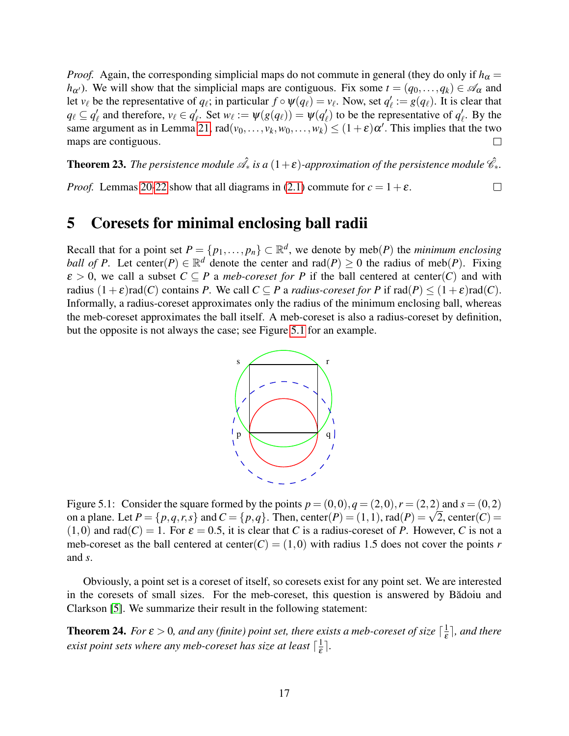*Proof.* Again, the corresponding simplicial maps do not commute in general (they do only if  $h_{\alpha} =$ *h*<sub>α</sub> $\prime$ ). We will show that the simplicial maps are contiguous. Fix some  $t = (q_0, \ldots, q_k) \in \mathcal{A}_{\alpha}$  and let  $v_\ell$  be the representative of  $q_\ell$ ; in particular  $f \circ \psi(q_\ell) = v_\ell$ . Now, set  $q'_\ell$  $\ell'_{\ell} := g(q_{\ell}).$  It is clear that  $q_\ell \subseteq q'_\ell$  $\alpha_{\ell}$  and therefore,  $v_{\ell} \in q_{\ell}'$  $\psi'_{\ell}$ . Set  $w_{\ell} := \psi(g(q_{\ell})) = \psi(q'_{\ell})$  $\mathbf{v}_{\ell}^{\prime}$ ) to be the representative of  $q_{\ell}^{\prime}$  $\ell$ . By the same argument as in Lemma [21,](#page-15-0)  $rad(v_0, \ldots, v_k, w_0, \ldots, w_k) \le (1 + \varepsilon) \alpha'$ . This implies that the two maps are contiguous.  $\Box$ 

**Theorem 23.** The persistence module  $\hat{\mathscr{A}}_{*}$  is a  $(1+\varepsilon)$ -approximation of the persistence module  $\hat{\mathscr{C}}_{*}$ .

*Proof.* Lemmas [20](#page-15-1)[-22](#page-15-2) show that all diagrams in [\(2.1\)](#page-5-1) commute for  $c = 1 + \varepsilon$ .  $\Box$ 

### <span id="page-16-0"></span>5 Coresets for minimal enclosing ball radii

Recall that for a point set  $P = \{p_1, \ldots, p_n\} \subset \mathbb{R}^d$ , we denote by meb(*P*) the *minimum enclosing ball of P*. Let center(*P*)  $\in \mathbb{R}^d$  denote the center and rad(*P*)  $\geq 0$  the radius of meb(*P*). Fixing  $\varepsilon > 0$ , we call a subset  $C \subseteq P$  a *meb-coreset for* P if the ball centered at center(C) and with radius  $(1+\varepsilon)\text{rad}(C)$  contains *P*. We call  $C \subseteq P$  a *radius-coreset for P* if  $\text{rad}(P) \leq (1+\varepsilon)\text{rad}(C)$ . Informally, a radius-coreset approximates only the radius of the minimum enclosing ball, whereas the meb-coreset approximates the ball itself. A meb-coreset is also a radius-coreset by definition, but the opposite is not always the case; see Figure [5.1](#page-16-1) for an example.



<span id="page-16-1"></span>Figure 5.1: Consider the square formed by the points  $p = (0,0), q = (2,0), r = (2,2)$  and  $s = (0,2)$ Figure 5.1: Consider the square formed by the points  $p = (0,0), q = (2,0), r = (2,2)$  and  $s = (0,2)$ <br>on a plane. Let  $P = \{p,q,r,s\}$  and  $C = \{p,q\}$ . Then, center $(P) = (1,1)$ , rad $(P) = \sqrt{2}$ , center $(C) =$  $(1,0)$  and rad $(C) = 1$ . For  $\varepsilon = 0.5$ , it is clear that *C* is a radius-coreset of *P*. However, *C* is not a meb-coreset as the ball centered at center( $C$ ) = (1,0) with radius 1.5 does not cover the points *r* and *s*.

Obviously, a point set is a coreset of itself, so coresets exist for any point set. We are interested in the coresets of small sizes. For the meb-coreset, this question is answered by Badoiu and Clarkson [\[5\]](#page-20-1). We summarize their result in the following statement:

**Theorem 24.** For  $\varepsilon > 0$ , and any (finite) point set, there exists a meb-coreset of size  $\lceil \frac{1}{\varepsilon} \rceil$  $\frac{1}{\varepsilon}$ , and there exist point sets where any meb-coreset has size at least  $\lceil \frac{1}{s} \rceil$  $\frac{1}{\varepsilon}$ .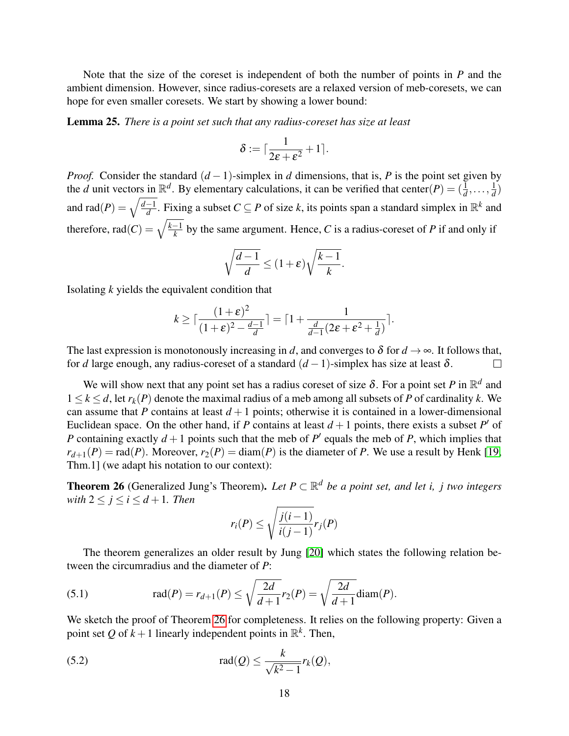Note that the size of the coreset is independent of both the number of points in *P* and the ambient dimension. However, since radius-coresets are a relaxed version of meb-coresets, we can hope for even smaller coresets. We start by showing a lower bound:

Lemma 25. *There is a point set such that any radius-coreset has size at least*

$$
\delta := \lceil \frac{1}{2\varepsilon + \varepsilon^2} + 1 \rceil.
$$

*Proof.* Consider the standard  $(d − 1)$ -simplex in *d* dimensions, that is, *P* is the point set given by the *d* unit vectors in  $\mathbb{R}^d$ . By elementary calculations, it can be verified that center(*P*) =  $(\frac{1}{d}, \ldots, \frac{1}{d})$  $\frac{1}{d}$ and rad $(P) = \sqrt{\frac{d-1}{d}}$  $\frac{d}{d}$ . Fixing a subset *C* ⊆ *P* of size *k*, its points span a standard simplex in  $\mathbb{R}$ <sup>*k*</sup> and therefore, rad $(C) = \sqrt{\frac{k-1}{k}}$  $\frac{1}{k}$  by the same argument. Hence, *C* is a radius-coreset of *P* if and only if

$$
\sqrt{\frac{d-1}{d}} \le (1+\varepsilon)\sqrt{\frac{k-1}{k}}.
$$

Isolating *k* yields the equivalent condition that

$$
k \geq \lceil \frac{(1+\varepsilon)^2}{(1+\varepsilon)^2 - \frac{d-1}{d}} \rceil = \lceil 1 + \frac{1}{\frac{d}{d-1}(2\varepsilon + \varepsilon^2 + \frac{1}{d})} \rceil.
$$

The last expression is monotonously increasing in *d*, and converges to  $\delta$  for  $d \rightarrow \infty$ . It follows that, for *d* large enough, any radius-coreset of a standard  $(d-1)$ -simplex has size at least  $\delta$ .  $\Box$ 

We will show next that any point set has a radius coreset of size  $\delta$ . For a point set P in  $\mathbb{R}^d$  and  $1 \leq k \leq d$ , let  $r_k(P)$  denote the maximal radius of a meb among all subsets of P of cardinality k. We can assume that *P* contains at least  $d+1$  points; otherwise it is contained in a lower-dimensional Euclidean space. On the other hand, if *P* contains at least  $d+1$  points, there exists a subset *P*<sup>'</sup> of *P* containing exactly  $d + 1$  points such that the meb of  $P'$  equals the meb of  $P$ , which implies that  $r_{d+1}(P) = \text{rad}(P)$ . Moreover,  $r_2(P) = \text{diam}(P)$  is the diameter of *P*. We use a result by Henk [\[19,](#page-21-13) Thm.1] (we adapt his notation to our context):

<span id="page-17-0"></span>**Theorem 26** (Generalized Jung's Theorem). Let  $P \subset \mathbb{R}^d$  be a point set, and let i, j two integers *with*  $2 \leq j \leq i \leq d+1$ *. Then* 

<span id="page-17-1"></span>
$$
r_i(P) \le \sqrt{\frac{j(i-1)}{i(j-1)}} r_j(P)
$$

The theorem generalizes an older result by Jung [\[20\]](#page-21-14) which states the following relation between the circumradius and the diameter of *P*:

(5.1) 
$$
\text{rad}(P) = r_{d+1}(P) \le \sqrt{\frac{2d}{d+1}} r_2(P) = \sqrt{\frac{2d}{d+1}} \text{diam}(P).
$$

We sketch the proof of Theorem [26](#page-17-0) for completeness. It relies on the following property: Given a point set Q of  $k+1$  linearly independent points in  $\mathbb{R}^k$ . Then,

(5.2) 
$$
\operatorname{rad}(Q) \leq \frac{k}{\sqrt{k^2-1}} r_k(Q),
$$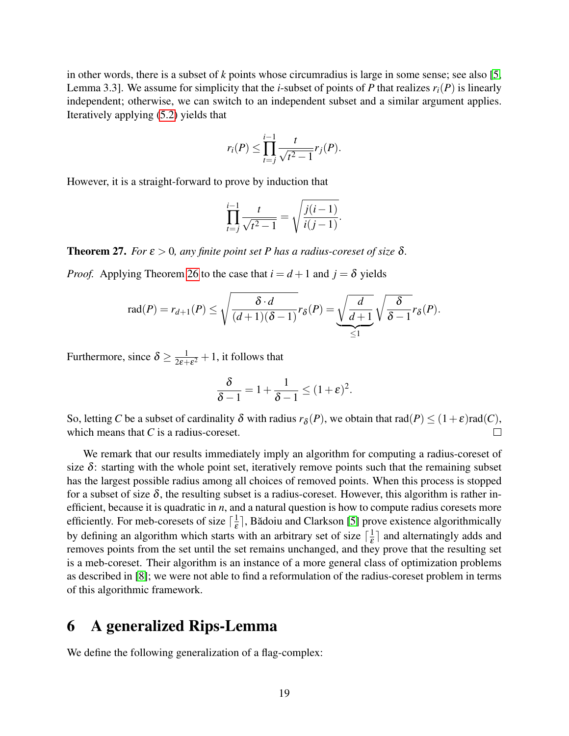in other words, there is a subset of *k* points whose circumradius is large in some sense; see also [\[5,](#page-20-1) Lemma 3.3]. We assume for simplicity that the *i*-subset of points of *P* that realizes  $r_i(P)$  is linearly independent; otherwise, we can switch to an independent subset and a similar argument applies. Iteratively applying [\(5.2\)](#page-17-1) yields that

$$
r_i(P) \leq \prod_{t=j}^{i-1} \frac{t}{\sqrt{t^2 - 1}} r_j(P).
$$

However, it is a straight-forward to prove by induction that

$$
\prod_{t=j}^{i-1} \frac{t}{\sqrt{t^2 - 1}} = \sqrt{\frac{j(i-1)}{i(j-1)}}.
$$

<span id="page-18-1"></span>**Theorem 27.** *For*  $\varepsilon > 0$ *, any finite point set P has a radius-coreset of size*  $\delta$ *.* 

*Proof.* Applying Theorem [26](#page-17-0) to the case that  $i = d + 1$  and  $j = \delta$  yields

$$
\operatorname{rad}(P) = r_{d+1}(P) \le \sqrt{\frac{\delta \cdot d}{(d+1)(\delta-1)}} r_{\delta}(P) = \underbrace{\sqrt{\frac{d}{d+1}}}_{\le 1} \sqrt{\frac{\delta}{\delta-1}} r_{\delta}(P).
$$

Furthermore, since  $\delta \ge \frac{1}{2\varepsilon^2}$  $\frac{1}{2\varepsilon + \varepsilon^2} + 1$ , it follows that

$$
\frac{\delta}{\delta - 1} = 1 + \frac{1}{\delta - 1} \le (1 + \varepsilon)^2.
$$

So, letting *C* be a subset of cardinality  $\delta$  with radius  $r_{\delta}(P)$ , we obtain that  $rad(P) \leq (1+\varepsilon)rad(C)$ , which means that *C* is a radius-coreset.  $\Box$ 

We remark that our results immediately imply an algorithm for computing a radius-coreset of size  $\delta$ : starting with the whole point set, iteratively remove points such that the remaining subset has the largest possible radius among all choices of removed points. When this process is stopped for a subset of size  $\delta$ , the resulting subset is a radius-coreset. However, this algorithm is rather inefficient, because it is quadratic in *n*, and a natural question is how to compute radius coresets more efficiently. For meb-coresets of size  $\lceil \frac{1}{5} \rceil$  $\frac{1}{\varepsilon}$ , Bădoiu and Clarkson [\[5\]](#page-20-1) prove existence algorithmically by defining an algorithm which starts with an arbitrary set of size  $\lceil \frac{1}{s} \rceil$  $\frac{1}{\varepsilon}$  and alternatingly adds and removes points from the set until the set remains unchanged, and they prove that the resulting set is a meb-coreset. Their algorithm is an instance of a more general class of optimization problems as described in [\[8\]](#page-20-11); we were not able to find a reformulation of the radius-coreset problem in terms of this algorithmic framework.

### <span id="page-18-0"></span>6 A generalized Rips-Lemma

We define the following generalization of a flag-complex: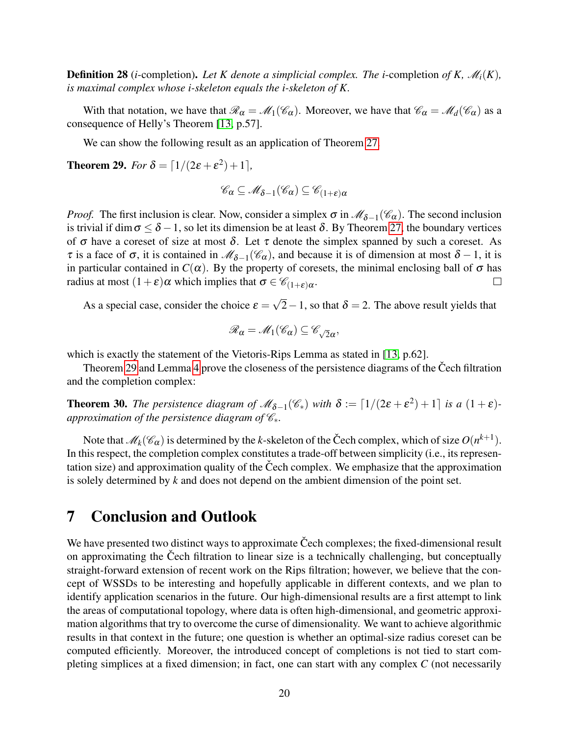**Definition 28** (*i*-completion). Let K denote a simplicial complex. The *i*-completion of K,  $\mathcal{M}_i(K)$ , *is maximal complex whose i-skeleton equals the i-skeleton of K.*

With that notation, we have that  $\mathcal{R}_{\alpha} = \mathcal{M}_1(\mathcal{C}_{\alpha})$ . Moreover, we have that  $\mathcal{C}_{\alpha} = \mathcal{M}_d(\mathcal{C}_{\alpha})$  as a consequence of Helly's Theorem [\[13,](#page-21-2) p.57].

We can show the following result as an application of Theorem [27.](#page-18-1)

<span id="page-19-0"></span>**Theorem 29.** *For*  $\delta = \lfloor 1/(2\varepsilon + \varepsilon^2) + 1 \rfloor$ *,* 

$$
\mathscr{C}_{\alpha} \subseteq \mathscr{M}_{\delta - 1}(\mathscr{C}_{\alpha}) \subseteq \mathscr{C}_{(1 + \varepsilon)\alpha}
$$

*Proof.* The first inclusion is clear. Now, consider a simplex  $\sigma$  in  $\mathcal{M}_{\delta-1}(\mathcal{C}_{\alpha})$ . The second inclusion is trivial if dim  $\sigma \leq \delta - 1$ , so let its dimension be at least  $\delta$ . By Theorem [27,](#page-18-1) the boundary vertices of  $\sigma$  have a coreset of size at most  $\delta$ . Let  $\tau$  denote the simplex spanned by such a coreset. As  $\tau$  is a face of  $\sigma$ , it is contained in  $\mathcal{M}_{\delta-1}(\mathcal{C}_{\alpha})$ , and because it is of dimension at most  $\delta-1$ , it is in particular contained in  $C(\alpha)$ . By the property of coresets, the minimal enclosing ball of  $\sigma$  has radius at most  $(1+\varepsilon)\alpha$  which implies that  $\sigma \in \mathscr{C}_{(1+\varepsilon)\alpha}$ .  $\Box$ 

As a special case, consider the choice  $\varepsilon =$ √ 2−1, so that  $\delta$  = 2. The above result yields that

$$
\mathscr{R}_{\alpha}=\mathscr{M}_1(\mathscr{C}_{\alpha})\subseteq\mathscr{C}_{\sqrt{2}\alpha},
$$

which is exactly the statement of the Vietoris-Rips Lemma as stated in [\[13,](#page-21-2) p.62].

Theorem [29](#page-19-0) and Lemma [4](#page-5-2) prove the closeness of the persistence diagrams of the Čech filtration and the completion complex:

**Theorem 30.** The persistence diagram of  $\mathcal{M}_{\delta-1}(\mathcal{C}_*)$  with  $\delta := [1/(2\varepsilon + \varepsilon^2) + 1]$  is a  $(1 + \varepsilon)$ *approximation of the persistence diagram of*  $\mathcal{C}_*$ *.* 

Note that  $\mathscr{M}_k(\mathscr{C}_{\alpha})$  is determined by the *k*-skeleton of the Čech complex, which of size  $O(n^{k+1})$ . In this respect, the completion complex constitutes a trade-off between simplicity (i.e., its representation size) and approximation quality of the Čech complex. We emphasize that the approximation is solely determined by *k* and does not depend on the ambient dimension of the point set.

### <span id="page-19-1"></span>7 Conclusion and Outlook

We have presented two distinct ways to approximate Čech complexes; the fixed-dimensional result on approximating the Cech filtration to linear size is a technically challenging, but conceptually straight-forward extension of recent work on the Rips filtration; however, we believe that the concept of WSSDs to be interesting and hopefully applicable in different contexts, and we plan to identify application scenarios in the future. Our high-dimensional results are a first attempt to link the areas of computational topology, where data is often high-dimensional, and geometric approximation algorithms that try to overcome the curse of dimensionality. We want to achieve algorithmic results in that context in the future; one question is whether an optimal-size radius coreset can be computed efficiently. Moreover, the introduced concept of completions is not tied to start completing simplices at a fixed dimension; in fact, one can start with any complex *C* (not necessarily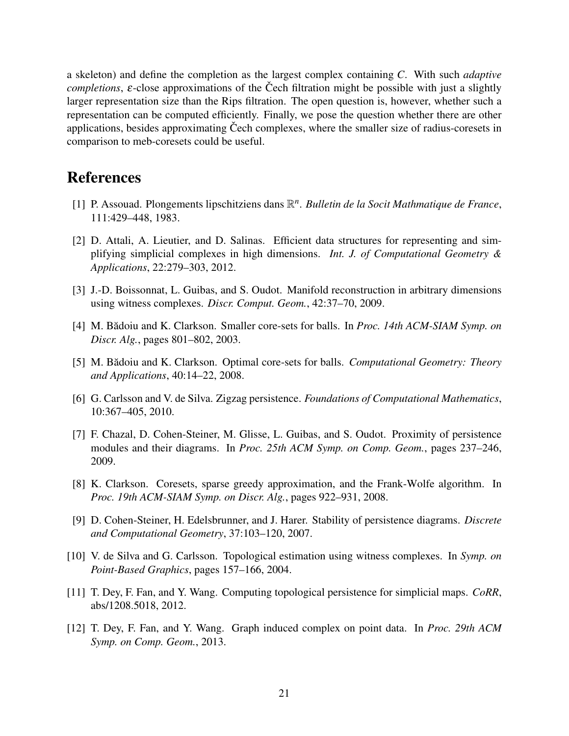a skeleton) and define the completion as the largest complex containing *C*. With such *adaptive completions*,  $\varepsilon$ -close approximations of the Čech filtration might be possible with just a slightly larger representation size than the Rips filtration. The open question is, however, whether such a representation can be computed efficiently. Finally, we pose the question whether there are other applications, besides approximating Čech complexes, where the smaller size of radius-coresets in comparison to meb-coresets could be useful.

### References

- <span id="page-20-9"></span>[1] P. Assouad. Plongements lipschitziens dans  $\mathbb{R}^n$ . *Bulletin de la Socit Mathmatique de France*, 111:429–448, 1983.
- <span id="page-20-2"></span>[2] D. Attali, A. Lieutier, and D. Salinas. Efficient data structures for representing and simplifying simplicial complexes in high dimensions. *Int. J. of Computational Geometry & Applications*, 22:279–303, 2012.
- <span id="page-20-4"></span>[3] J.-D. Boissonnat, L. Guibas, and S. Oudot. Manifold reconstruction in arbitrary dimensions using witness complexes. *Discr. Comput. Geom.*, 42:37–70, 2009.
- <span id="page-20-10"></span>[4] M. Bădoiu and K. Clarkson. Smaller core-sets for balls. In *Proc. 14th ACM-SIAM Symp. on Discr. Alg.*, pages 801–802, 2003.
- <span id="page-20-1"></span>[5] M. Bădoiu and K. Clarkson. Optimal core-sets for balls. Computational Geometry: Theory *and Applications*, 40:14–22, 2008.
- <span id="page-20-6"></span>[6] G. Carlsson and V. de Silva. Zigzag persistence. *Foundations of Computational Mathematics*, 10:367–405, 2010.
- <span id="page-20-7"></span>[7] F. Chazal, D. Cohen-Steiner, M. Glisse, L. Guibas, and S. Oudot. Proximity of persistence modules and their diagrams. In *Proc. 25th ACM Symp. on Comp. Geom.*, pages 237–246, 2009.
- <span id="page-20-11"></span>[8] K. Clarkson. Coresets, sparse greedy approximation, and the Frank-Wolfe algorithm. In *Proc. 19th ACM-SIAM Symp. on Discr. Alg.*, pages 922–931, 2008.
- <span id="page-20-8"></span>[9] D. Cohen-Steiner, H. Edelsbrunner, and J. Harer. Stability of persistence diagrams. *Discrete and Computational Geometry*, 37:103–120, 2007.
- <span id="page-20-3"></span>[10] V. de Silva and G. Carlsson. Topological estimation using witness complexes. In *Symp. on Point-Based Graphics*, pages 157–166, 2004.
- <span id="page-20-0"></span>[11] T. Dey, F. Fan, and Y. Wang. Computing topological persistence for simplicial maps. *CoRR*, abs/1208.5018, 2012.
- <span id="page-20-5"></span>[12] T. Dey, F. Fan, and Y. Wang. Graph induced complex on point data. In *Proc. 29th ACM Symp. on Comp. Geom.*, 2013.